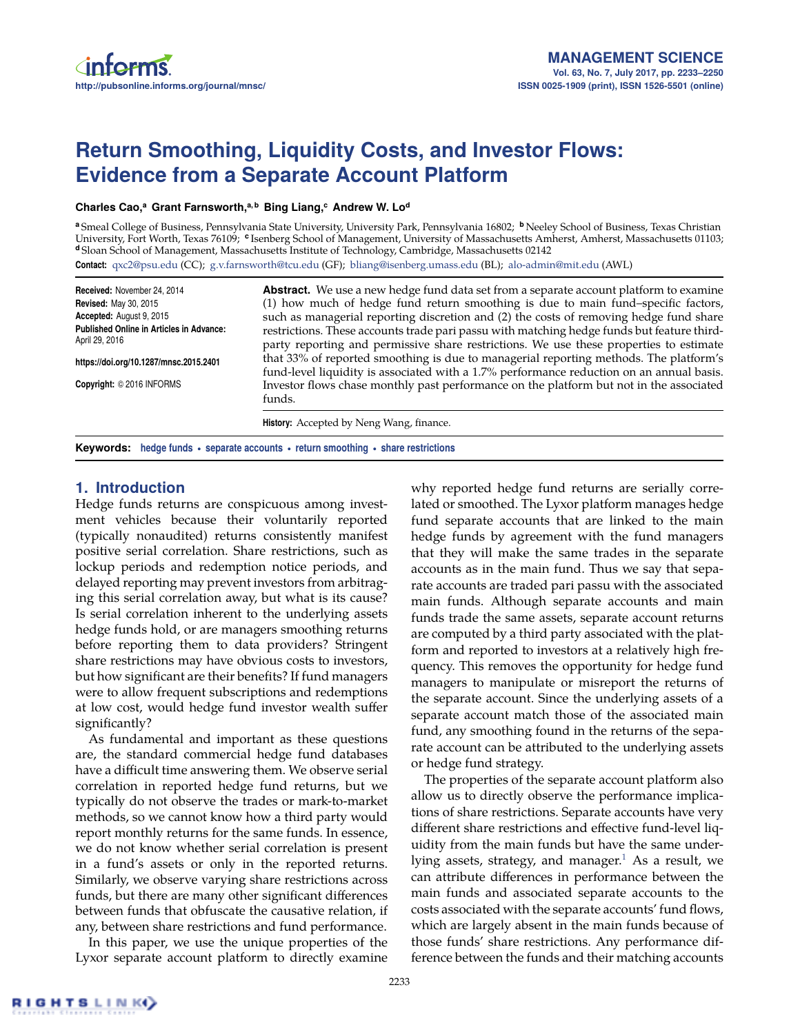# **Return Smoothing, Liquidity Costs, and Investor Flows: Evidence from a Separate Account Platform**

#### **Charles Cao,<sup>a</sup> Grant Farnsworth,a, b Bing Liang,<sup>c</sup> Andrew W. Lo<sup>d</sup>**

**<sup>a</sup>** Smeal College of Business, Pennsylvania State University, University Park, Pennsylvania 16802; **<sup>b</sup>** Neeley School of Business, Texas Christian University, Fort Worth, Texas 76109; **<sup>c</sup>** Isenberg School of Management, University of Massachusetts Amherst, Amherst, Massachusetts 01103; **<sup>d</sup>** Sloan School of Management, Massachusetts Institute of Technology, Cambridge, Massachusetts 02142

**Contact:** qxc2@psu.edu (CC); g.v.farnsworth@tcu.edu (GF); bliang@isenberg.umass.edu (BL); alo-admin@mit.edu (AWL)

**Received:** November 24, 2014 **Revised:** May 30, 2015 **Accepted:** August 9, 2015 **Published Online in Articles in Advance:** April 29, 2016

**https://doi.org/10.1287/mnsc.2015.2401**

**Copyright:** © 2016 INFORMS

**Abstract.** We use a new hedge fund data set from a separate account platform to examine (1) how much of hedge fund return smoothing is due to main fund–specific factors, such as managerial reporting discretion and (2) the costs of removing hedge fund share restrictions. These accounts trade pari passu with matching hedge funds but feature thirdparty reporting and permissive share restrictions. We use these properties to estimate that 33% of reported smoothing is due to managerial reporting methods. The platform's fund-level liquidity is associated with a 1.7% performance reduction on an annual basis. Investor flows chase monthly past performance on the platform but not in the associated funds.

**History:** Accepted by Neng Wang, finance.

**Keywords: hedge funds • separate accounts • return smoothing • share restrictions**

# **1. Introduction**

Hedge funds returns are conspicuous among investment vehicles because their voluntarily reported (typically nonaudited) returns consistently manifest positive serial correlation. Share restrictions, such as lockup periods and redemption notice periods, and delayed reporting may prevent investors from arbitraging this serial correlation away, but what is its cause? Is serial correlation inherent to the underlying assets hedge funds hold, or are managers smoothing returns before reporting them to data providers? Stringent share restrictions may have obvious costs to investors, but how significant are their benefits? If fund managers were to allow frequent subscriptions and redemptions at low cost, would hedge fund investor wealth suffer significantly?

As fundamental and important as these questions are, the standard commercial hedge fund databases have a difficult time answering them. We observe serial correlation in reported hedge fund returns, but we typically do not observe the trades or mark-to-market methods, so we cannot know how a third party would report monthly returns for the same funds. In essence, we do not know whether serial correlation is present in a fund's assets or only in the reported returns. Similarly, we observe varying share restrictions across funds, but there are many other significant differences between funds that obfuscate the causative relation, if any, between share restrictions and fund performance.

In this paper, we use the unique properties of the Lyxor separate account platform to directly examine why reported hedge fund returns are serially correlated or smoothed. The Lyxor platform manages hedge fund separate accounts that are linked to the main hedge funds by agreement with the fund managers that they will make the same trades in the separate accounts as in the main fund. Thus we say that separate accounts are traded pari passu with the associated main funds. Although separate accounts and main funds trade the same assets, separate account returns are computed by a third party associated with the platform and reported to investors at a relatively high frequency. This removes the opportunity for hedge fund managers to manipulate or misreport the returns of the separate account. Since the underlying assets of a separate account match those of the associated main fund, any smoothing found in the returns of the separate account can be attributed to the underlying assets or hedge fund strategy.

The properties of the separate account platform also allow us to directly observe the performance implications of share restrictions. Separate accounts have very different share restrictions and effective fund-level liquidity from the main funds but have the same underlying assets, strategy, and manager.<sup>1</sup> As a result, we can attribute differences in performance between the main funds and associated separate accounts to the costs associated with the separate accounts' fund flows, which are largely absent in the main funds because of those funds' share restrictions. Any performance difference between the funds and their matching accounts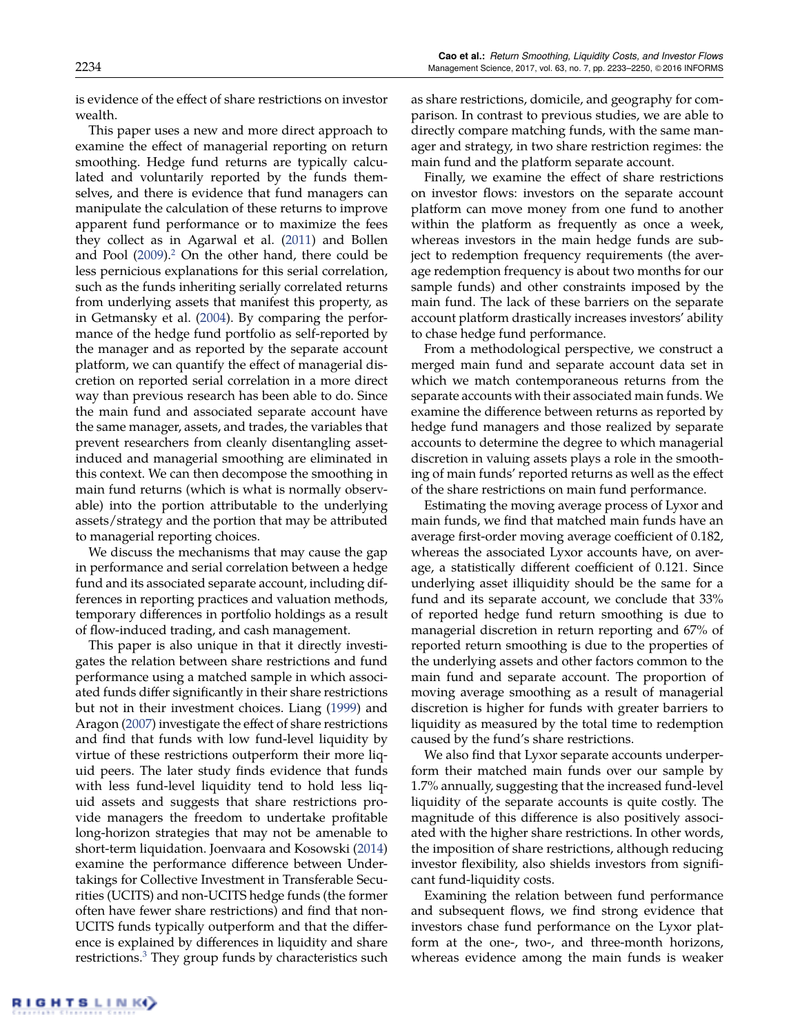is evidence of the effect of share restrictions on investor wealth.

This paper uses a new and more direct approach to examine the effect of managerial reporting on return smoothing. Hedge fund returns are typically calculated and voluntarily reported by the funds themselves, and there is evidence that fund managers can manipulate the calculation of these returns to improve apparent fund performance or to maximize the fees they collect as in Agarwal et al. (2011) and Bollen and Pool  $(2009).<sup>2</sup>$  On the other hand, there could be less pernicious explanations for this serial correlation, such as the funds inheriting serially correlated returns from underlying assets that manifest this property, as in Getmansky et al. (2004). By comparing the performance of the hedge fund portfolio as self-reported by the manager and as reported by the separate account platform, we can quantify the effect of managerial discretion on reported serial correlation in a more direct way than previous research has been able to do. Since the main fund and associated separate account have the same manager, assets, and trades, the variables that prevent researchers from cleanly disentangling assetinduced and managerial smoothing are eliminated in this context. We can then decompose the smoothing in main fund returns (which is what is normally observable) into the portion attributable to the underlying assets/strategy and the portion that may be attributed to managerial reporting choices.

We discuss the mechanisms that may cause the gap in performance and serial correlation between a hedge fund and its associated separate account, including differences in reporting practices and valuation methods, temporary differences in portfolio holdings as a result of flow-induced trading, and cash management.

This paper is also unique in that it directly investigates the relation between share restrictions and fund performance using a matched sample in which associated funds differ significantly in their share restrictions but not in their investment choices. Liang (1999) and Aragon (2007) investigate the effect of share restrictions and find that funds with low fund-level liquidity by virtue of these restrictions outperform their more liquid peers. The later study finds evidence that funds with less fund-level liquidity tend to hold less liquid assets and suggests that share restrictions provide managers the freedom to undertake profitable long-horizon strategies that may not be amenable to short-term liquidation. Joenvaara and Kosowski (2014) examine the performance difference between Undertakings for Collective Investment in Transferable Securities (UCITS) and non-UCITS hedge funds (the former often have fewer share restrictions) and find that non-UCITS funds typically outperform and that the difference is explained by differences in liquidity and share restrictions.<sup>3</sup> They group funds by characteristics such as share restrictions, domicile, and geography for comparison. In contrast to previous studies, we are able to directly compare matching funds, with the same manager and strategy, in two share restriction regimes: the main fund and the platform separate account.

Finally, we examine the effect of share restrictions on investor flows: investors on the separate account platform can move money from one fund to another within the platform as frequently as once a week, whereas investors in the main hedge funds are subject to redemption frequency requirements (the average redemption frequency is about two months for our sample funds) and other constraints imposed by the main fund. The lack of these barriers on the separate account platform drastically increases investors' ability to chase hedge fund performance.

From a methodological perspective, we construct a merged main fund and separate account data set in which we match contemporaneous returns from the separate accounts with their associated main funds. We examine the difference between returns as reported by hedge fund managers and those realized by separate accounts to determine the degree to which managerial discretion in valuing assets plays a role in the smoothing of main funds' reported returns as well as the effect of the share restrictions on main fund performance.

Estimating the moving average process of Lyxor and main funds, we find that matched main funds have an average first-order moving average coefficient of 0.182, whereas the associated Lyxor accounts have, on average, a statistically different coefficient of 0.121. Since underlying asset illiquidity should be the same for a fund and its separate account, we conclude that 33% of reported hedge fund return smoothing is due to managerial discretion in return reporting and 67% of reported return smoothing is due to the properties of the underlying assets and other factors common to the main fund and separate account. The proportion of moving average smoothing as a result of managerial discretion is higher for funds with greater barriers to liquidity as measured by the total time to redemption caused by the fund's share restrictions.

We also find that Lyxor separate accounts underperform their matched main funds over our sample by 1.7% annually, suggesting that the increased fund-level liquidity of the separate accounts is quite costly. The magnitude of this difference is also positively associated with the higher share restrictions. In other words, the imposition of share restrictions, although reducing investor flexibility, also shields investors from significant fund-liquidity costs.

Examining the relation between fund performance and subsequent flows, we find strong evidence that investors chase fund performance on the Lyxor platform at the one-, two-, and three-month horizons, whereas evidence among the main funds is weaker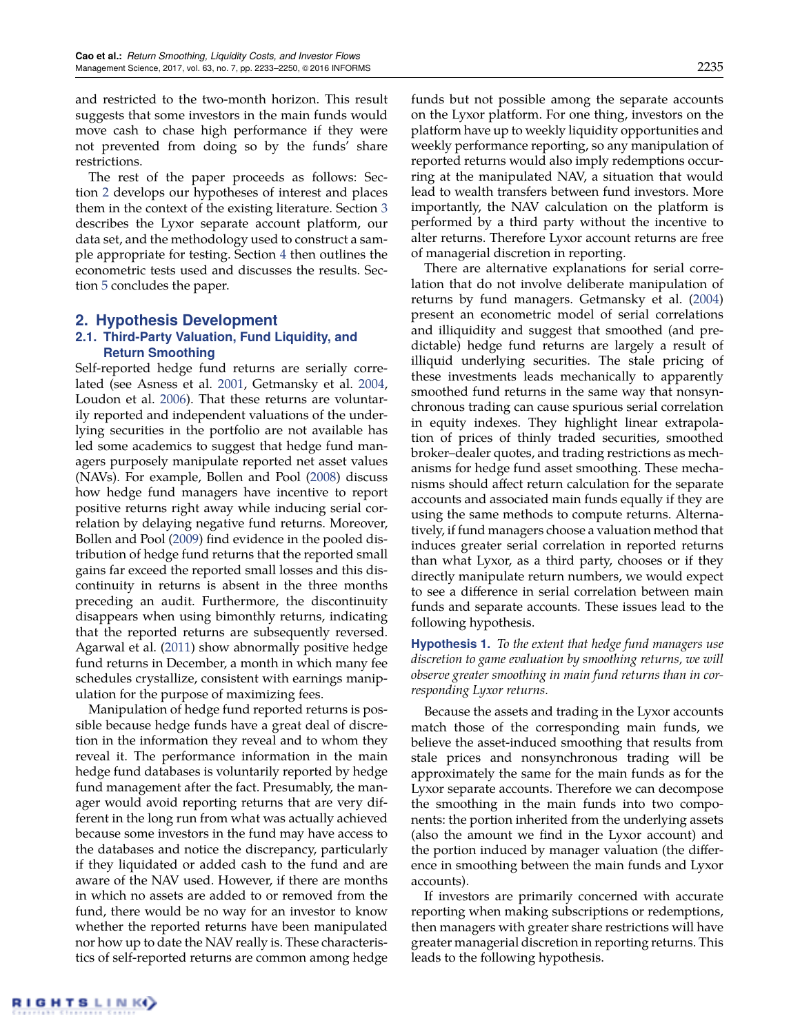and restricted to the two-month horizon. This result suggests that some investors in the main funds would move cash to chase high performance if they were not prevented from doing so by the funds' share restrictions.

The rest of the paper proceeds as follows: Section 2 develops our hypotheses of interest and places them in the context of the existing literature. Section 3 describes the Lyxor separate account platform, our data set, and the methodology used to construct a sample appropriate for testing. Section 4 then outlines the econometric tests used and discusses the results. Section 5 concludes the paper.

# **2. Hypothesis Development**

# **2.1. Third-Party Valuation, Fund Liquidity, and Return Smoothing**

Self-reported hedge fund returns are serially correlated (see Asness et al. 2001, Getmansky et al. 2004, Loudon et al. 2006). That these returns are voluntarily reported and independent valuations of the underlying securities in the portfolio are not available has led some academics to suggest that hedge fund managers purposely manipulate reported net asset values (NAVs). For example, Bollen and Pool (2008) discuss how hedge fund managers have incentive to report positive returns right away while inducing serial correlation by delaying negative fund returns. Moreover, Bollen and Pool (2009) find evidence in the pooled distribution of hedge fund returns that the reported small gains far exceed the reported small losses and this discontinuity in returns is absent in the three months preceding an audit. Furthermore, the discontinuity disappears when using bimonthly returns, indicating that the reported returns are subsequently reversed. Agarwal et al. (2011) show abnormally positive hedge fund returns in December, a month in which many fee schedules crystallize, consistent with earnings manipulation for the purpose of maximizing fees.

Manipulation of hedge fund reported returns is possible because hedge funds have a great deal of discretion in the information they reveal and to whom they reveal it. The performance information in the main hedge fund databases is voluntarily reported by hedge fund management after the fact. Presumably, the manager would avoid reporting returns that are very different in the long run from what was actually achieved because some investors in the fund may have access to the databases and notice the discrepancy, particularly if they liquidated or added cash to the fund and are aware of the NAV used. However, if there are months in which no assets are added to or removed from the fund, there would be no way for an investor to know whether the reported returns have been manipulated nor how up to date the NAV really is. These characteristics of self-reported returns are common among hedge

funds but not possible among the separate accounts on the Lyxor platform. For one thing, investors on the platform have up to weekly liquidity opportunities and weekly performance reporting, so any manipulation of reported returns would also imply redemptions occurring at the manipulated NAV, a situation that would lead to wealth transfers between fund investors. More importantly, the NAV calculation on the platform is performed by a third party without the incentive to alter returns. Therefore Lyxor account returns are free of managerial discretion in reporting.

There are alternative explanations for serial correlation that do not involve deliberate manipulation of returns by fund managers. Getmansky et al. (2004) present an econometric model of serial correlations and illiquidity and suggest that smoothed (and predictable) hedge fund returns are largely a result of illiquid underlying securities. The stale pricing of these investments leads mechanically to apparently smoothed fund returns in the same way that nonsynchronous trading can cause spurious serial correlation in equity indexes. They highlight linear extrapolation of prices of thinly traded securities, smoothed broker–dealer quotes, and trading restrictions as mechanisms for hedge fund asset smoothing. These mechanisms should affect return calculation for the separate accounts and associated main funds equally if they are using the same methods to compute returns. Alternatively, if fund managers choose a valuation method that induces greater serial correlation in reported returns than what Lyxor, as a third party, chooses or if they directly manipulate return numbers, we would expect to see a difference in serial correlation between main funds and separate accounts. These issues lead to the following hypothesis.

**Hypothesis 1.** *To the extent that hedge fund managers use discretion to game evaluation by smoothing returns, we will observe greater smoothing in main fund returns than in corresponding Lyxor returns.*

Because the assets and trading in the Lyxor accounts match those of the corresponding main funds, we believe the asset-induced smoothing that results from stale prices and nonsynchronous trading will be approximately the same for the main funds as for the Lyxor separate accounts. Therefore we can decompose the smoothing in the main funds into two components: the portion inherited from the underlying assets (also the amount we find in the Lyxor account) and the portion induced by manager valuation (the difference in smoothing between the main funds and Lyxor accounts).

If investors are primarily concerned with accurate reporting when making subscriptions or redemptions, then managers with greater share restrictions will have greater managerial discretion in reporting returns. This leads to the following hypothesis.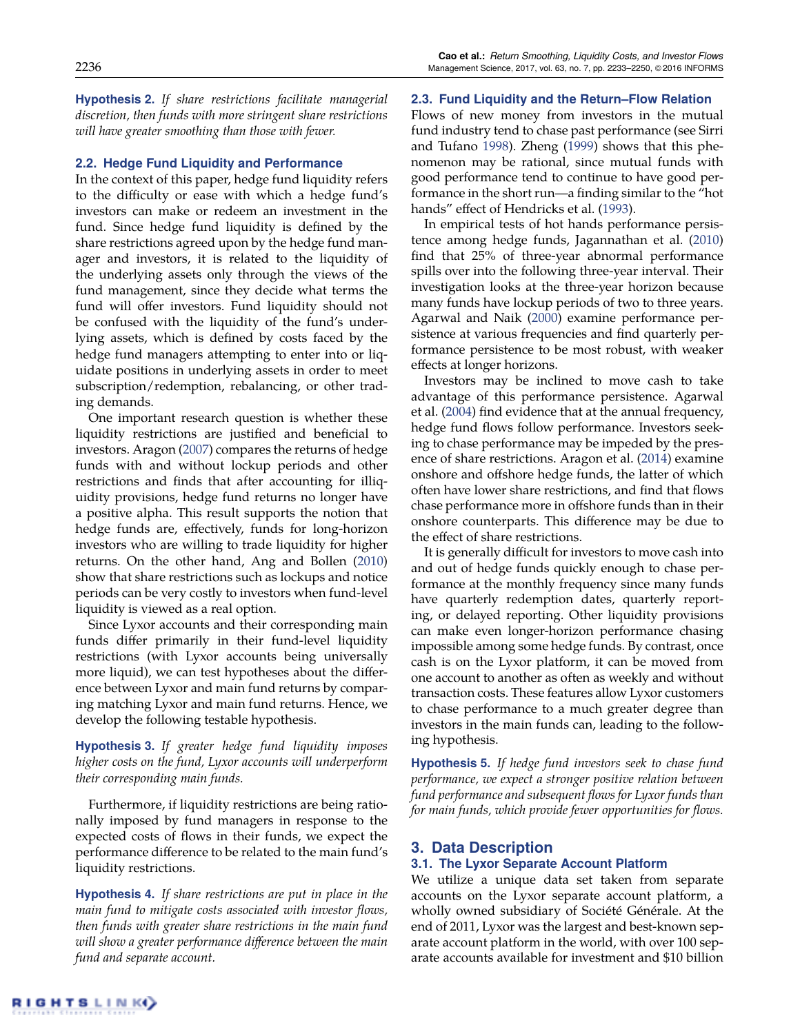**Hypothesis 2.** *If share restrictions facilitate managerial discretion, then funds with more stringent share restrictions will have greater smoothing than those with fewer.*

# **2.2. Hedge Fund Liquidity and Performance**

In the context of this paper, hedge fund liquidity refers to the difficulty or ease with which a hedge fund's investors can make or redeem an investment in the fund. Since hedge fund liquidity is defined by the share restrictions agreed upon by the hedge fund manager and investors, it is related to the liquidity of the underlying assets only through the views of the fund management, since they decide what terms the fund will offer investors. Fund liquidity should not be confused with the liquidity of the fund's underlying assets, which is defined by costs faced by the hedge fund managers attempting to enter into or liquidate positions in underlying assets in order to meet subscription/redemption, rebalancing, or other trading demands.

One important research question is whether these liquidity restrictions are justified and beneficial to investors. Aragon (2007) compares the returns of hedge funds with and without lockup periods and other restrictions and finds that after accounting for illiquidity provisions, hedge fund returns no longer have a positive alpha. This result supports the notion that hedge funds are, effectively, funds for long-horizon investors who are willing to trade liquidity for higher returns. On the other hand, Ang and Bollen (2010) show that share restrictions such as lockups and notice periods can be very costly to investors when fund-level liquidity is viewed as a real option.

Since Lyxor accounts and their corresponding main funds differ primarily in their fund-level liquidity restrictions (with Lyxor accounts being universally more liquid), we can test hypotheses about the difference between Lyxor and main fund returns by comparing matching Lyxor and main fund returns. Hence, we develop the following testable hypothesis.

# **Hypothesis 3.** *If greater hedge fund liquidity imposes higher costs on the fund, Lyxor accounts will underperform their corresponding main funds.*

Furthermore, if liquidity restrictions are being rationally imposed by fund managers in response to the expected costs of flows in their funds, we expect the performance difference to be related to the main fund's liquidity restrictions.

**Hypothesis 4.** *If share restrictions are put in place in the main fund to mitigate costs associated with investor flows, then funds with greater share restrictions in the main fund will show a greater performance difference between the main fund and separate account.*

**2.3. Fund Liquidity and the Return–Flow Relation** Flows of new money from investors in the mutual

fund industry tend to chase past performance (see Sirri and Tufano 1998). Zheng (1999) shows that this phenomenon may be rational, since mutual funds with good performance tend to continue to have good performance in the short run—a finding similar to the "hot hands" effect of Hendricks et al. (1993).

In empirical tests of hot hands performance persistence among hedge funds, Jagannathan et al. (2010) find that 25% of three-year abnormal performance spills over into the following three-year interval. Their investigation looks at the three-year horizon because many funds have lockup periods of two to three years. Agarwal and Naik (2000) examine performance persistence at various frequencies and find quarterly performance persistence to be most robust, with weaker effects at longer horizons.

Investors may be inclined to move cash to take advantage of this performance persistence. Agarwal et al. (2004) find evidence that at the annual frequency, hedge fund flows follow performance. Investors seeking to chase performance may be impeded by the presence of share restrictions. Aragon et al. (2014) examine onshore and offshore hedge funds, the latter of which often have lower share restrictions, and find that flows chase performance more in offshore funds than in their onshore counterparts. This difference may be due to the effect of share restrictions.

It is generally difficult for investors to move cash into and out of hedge funds quickly enough to chase performance at the monthly frequency since many funds have quarterly redemption dates, quarterly reporting, or delayed reporting. Other liquidity provisions can make even longer-horizon performance chasing impossible among some hedge funds. By contrast, once cash is on the Lyxor platform, it can be moved from one account to another as often as weekly and without transaction costs. These features allow Lyxor customers to chase performance to a much greater degree than investors in the main funds can, leading to the following hypothesis.

**Hypothesis 5.** *If hedge fund investors seek to chase fund performance, we expect a stronger positive relation between fund performance and subsequent flows for Lyxor funds than for main funds, which provide fewer opportunities for flows.*

# **3. Data Description**

# **3.1. The Lyxor Separate Account Platform**

We utilize a unique data set taken from separate accounts on the Lyxor separate account platform, a wholly owned subsidiary of Société Générale. At the end of 2011, Lyxor was the largest and best-known separate account platform in the world, with over 100 separate accounts available for investment and \$10 billion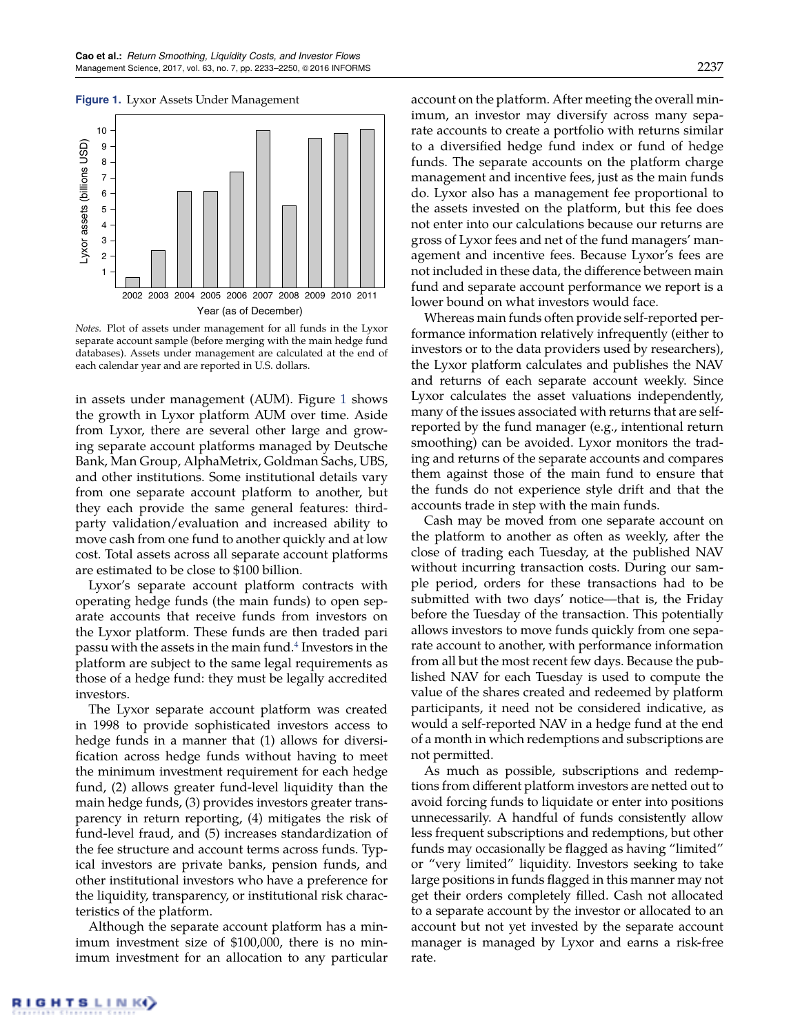**Figure 1.** Lyxor Assets Under Management



*Notes.* Plot of assets under management for all funds in the Lyxor separate account sample (before merging with the main hedge fund databases). Assets under management are calculated at the end of each calendar year and are reported in U.S. dollars.

in assets under management (AUM). Figure 1 shows the growth in Lyxor platform AUM over time. Aside from Lyxor, there are several other large and growing separate account platforms managed by Deutsche Bank, Man Group, AlphaMetrix, Goldman Sachs, UBS, and other institutions. Some institutional details vary from one separate account platform to another, but they each provide the same general features: thirdparty validation/evaluation and increased ability to move cash from one fund to another quickly and at low cost. Total assets across all separate account platforms are estimated to be close to \$100 billion.

Lyxor's separate account platform contracts with operating hedge funds (the main funds) to open separate accounts that receive funds from investors on the Lyxor platform. These funds are then traded pari passu with the assets in the main fund. $^4$  Investors in the platform are subject to the same legal requirements as those of a hedge fund: they must be legally accredited investors.

The Lyxor separate account platform was created in 1998 to provide sophisticated investors access to hedge funds in a manner that (1) allows for diversification across hedge funds without having to meet the minimum investment requirement for each hedge fund, (2) allows greater fund-level liquidity than the main hedge funds, (3) provides investors greater transparency in return reporting, (4) mitigates the risk of fund-level fraud, and (5) increases standardization of the fee structure and account terms across funds. Typical investors are private banks, pension funds, and other institutional investors who have a preference for the liquidity, transparency, or institutional risk characteristics of the platform.

Although the separate account platform has a minimum investment size of \$100,000, there is no minimum investment for an allocation to any particular account on the platform. After meeting the overall minimum, an investor may diversify across many separate accounts to create a portfolio with returns similar to a diversified hedge fund index or fund of hedge funds. The separate accounts on the platform charge management and incentive fees, just as the main funds do. Lyxor also has a management fee proportional to the assets invested on the platform, but this fee does not enter into our calculations because our returns are gross of Lyxor fees and net of the fund managers' management and incentive fees. Because Lyxor's fees are not included in these data, the difference between main fund and separate account performance we report is a lower bound on what investors would face.

Whereas main funds often provide self-reported performance information relatively infrequently (either to investors or to the data providers used by researchers), the Lyxor platform calculates and publishes the NAV and returns of each separate account weekly. Since Lyxor calculates the asset valuations independently, many of the issues associated with returns that are selfreported by the fund manager (e.g., intentional return smoothing) can be avoided. Lyxor monitors the trading and returns of the separate accounts and compares them against those of the main fund to ensure that the funds do not experience style drift and that the accounts trade in step with the main funds.

Cash may be moved from one separate account on the platform to another as often as weekly, after the close of trading each Tuesday, at the published NAV without incurring transaction costs. During our sample period, orders for these transactions had to be submitted with two days' notice—that is, the Friday before the Tuesday of the transaction. This potentially allows investors to move funds quickly from one separate account to another, with performance information from all but the most recent few days. Because the published NAV for each Tuesday is used to compute the value of the shares created and redeemed by platform participants, it need not be considered indicative, as would a self-reported NAV in a hedge fund at the end of a month in which redemptions and subscriptions are not permitted.

As much as possible, subscriptions and redemptions from different platform investors are netted out to avoid forcing funds to liquidate or enter into positions unnecessarily. A handful of funds consistently allow less frequent subscriptions and redemptions, but other funds may occasionally be flagged as having "limited" or "very limited" liquidity. Investors seeking to take large positions in funds flagged in this manner may not get their orders completely filled. Cash not allocated to a separate account by the investor or allocated to an account but not yet invested by the separate account manager is managed by Lyxor and earns a risk-free rate.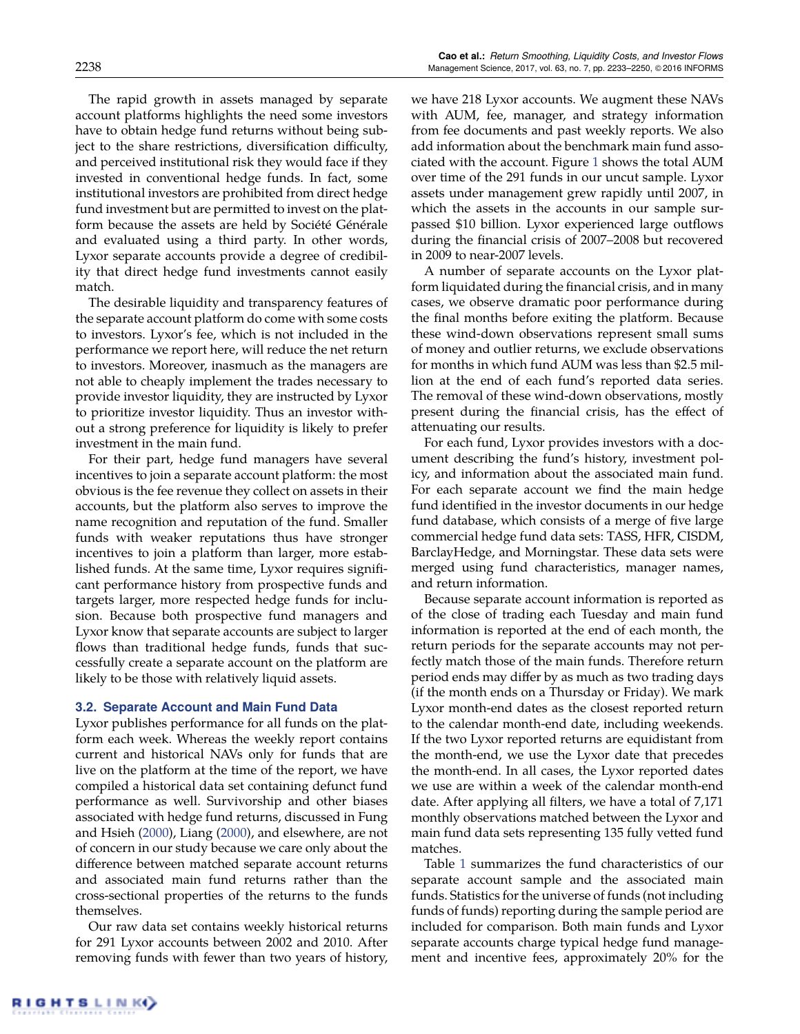The rapid growth in assets managed by separate account platforms highlights the need some investors have to obtain hedge fund returns without being subject to the share restrictions, diversification difficulty, and perceived institutional risk they would face if they invested in conventional hedge funds. In fact, some institutional investors are prohibited from direct hedge fund investment but are permitted to invest on the platform because the assets are held by Société Générale and evaluated using a third party. In other words, Lyxor separate accounts provide a degree of credibility that direct hedge fund investments cannot easily match.

The desirable liquidity and transparency features of the separate account platform do come with some costs to investors. Lyxor's fee, which is not included in the performance we report here, will reduce the net return to investors. Moreover, inasmuch as the managers are not able to cheaply implement the trades necessary to provide investor liquidity, they are instructed by Lyxor to prioritize investor liquidity. Thus an investor without a strong preference for liquidity is likely to prefer investment in the main fund.

For their part, hedge fund managers have several incentives to join a separate account platform: the most obvious is the fee revenue they collect on assets in their accounts, but the platform also serves to improve the name recognition and reputation of the fund. Smaller funds with weaker reputations thus have stronger incentives to join a platform than larger, more established funds. At the same time, Lyxor requires significant performance history from prospective funds and targets larger, more respected hedge funds for inclusion. Because both prospective fund managers and Lyxor know that separate accounts are subject to larger flows than traditional hedge funds, funds that successfully create a separate account on the platform are likely to be those with relatively liquid assets.

#### **3.2. Separate Account and Main Fund Data**

Lyxor publishes performance for all funds on the platform each week. Whereas the weekly report contains current and historical NAVs only for funds that are live on the platform at the time of the report, we have compiled a historical data set containing defunct fund performance as well. Survivorship and other biases associated with hedge fund returns, discussed in Fung and Hsieh (2000), Liang (2000), and elsewhere, are not of concern in our study because we care only about the difference between matched separate account returns and associated main fund returns rather than the cross-sectional properties of the returns to the funds themselves.

Our raw data set contains weekly historical returns for 291 Lyxor accounts between 2002 and 2010. After removing funds with fewer than two years of history, we have 218 Lyxor accounts. We augment these NAVs with AUM, fee, manager, and strategy information from fee documents and past weekly reports. We also add information about the benchmark main fund associated with the account. Figure 1 shows the total AUM over time of the 291 funds in our uncut sample. Lyxor assets under management grew rapidly until 2007, in which the assets in the accounts in our sample surpassed \$10 billion. Lyxor experienced large outflows during the financial crisis of 2007–2008 but recovered in 2009 to near-2007 levels.

A number of separate accounts on the Lyxor platform liquidated during the financial crisis, and in many cases, we observe dramatic poor performance during the final months before exiting the platform. Because these wind-down observations represent small sums of money and outlier returns, we exclude observations for months in which fund AUM was less than \$2.5 million at the end of each fund's reported data series. The removal of these wind-down observations, mostly present during the financial crisis, has the effect of attenuating our results.

For each fund, Lyxor provides investors with a document describing the fund's history, investment policy, and information about the associated main fund. For each separate account we find the main hedge fund identified in the investor documents in our hedge fund database, which consists of a merge of five large commercial hedge fund data sets: TASS, HFR, CISDM, BarclayHedge, and Morningstar. These data sets were merged using fund characteristics, manager names, and return information.

Because separate account information is reported as of the close of trading each Tuesday and main fund information is reported at the end of each month, the return periods for the separate accounts may not perfectly match those of the main funds. Therefore return period ends may differ by as much as two trading days (if the month ends on a Thursday or Friday). We mark Lyxor month-end dates as the closest reported return to the calendar month-end date, including weekends. If the two Lyxor reported returns are equidistant from the month-end, we use the Lyxor date that precedes the month-end. In all cases, the Lyxor reported dates we use are within a week of the calendar month-end date. After applying all filters, we have a total of 7,171 monthly observations matched between the Lyxor and main fund data sets representing 135 fully vetted fund matches.

Table 1 summarizes the fund characteristics of our separate account sample and the associated main funds. Statistics for the universe of funds (not including funds of funds) reporting during the sample period are included for comparison. Both main funds and Lyxor separate accounts charge typical hedge fund management and incentive fees, approximately 20% for the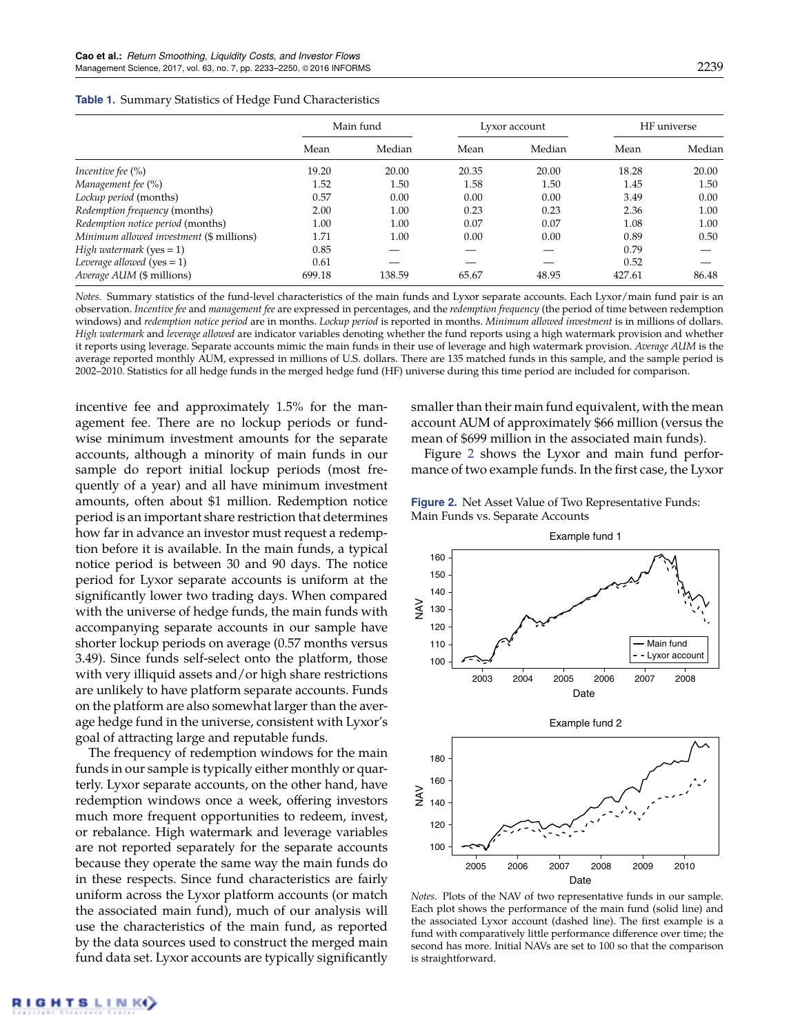#### **Table 1.** Summary Statistics of Hedge Fund Characteristics

|                                          | Main fund |        | Lyxor account |        | HF universe |        |
|------------------------------------------|-----------|--------|---------------|--------|-------------|--------|
|                                          | Mean      | Median | Mean          | Median | Mean        | Median |
| Incentive fee $(\%)$                     | 19.20     | 20.00  | 20.35         | 20.00  | 18.28       | 20.00  |
| Management fee (%)                       | 1.52      | 1.50   | 1.58          | 1.50   | 1.45        | 1.50   |
| Lockup period (months)                   | 0.57      | 0.00   | 0.00          | 0.00   | 3.49        | 0.00   |
| Redemption frequency (months)            | 2.00      | 1.00   | 0.23          | 0.23   | 2.36        | 1.00   |
| Redemption notice period (months)        | 1.00      | 1.00   | 0.07          | 0.07   | 1.08        | 1.00   |
| Minimum allowed investment (\$ millions) | 1.71      | 1.00   | 0.00          | 0.00   | 0.89        | 0.50   |
| High watermark ( $yes = 1$ )             | 0.85      |        |               |        | 0.79        |        |
| Leverage allowed (yes $= 1$ )            | 0.61      |        |               |        | 0.52        |        |
| Average AUM (\$ millions)                | 699.18    | 138.59 | 65.67         | 48.95  | 427.61      | 86.48  |

*Notes.* Summary statistics of the fund-level characteristics of the main funds and Lyxor separate accounts. Each Lyxor/main fund pair is an observation. *Incentive fee* and *management fee* are expressed in percentages, and the *redemption frequency* (the period of time between redemption windows) and *redemption notice period* are in months. *Lockup period* is reported in months. *Minimum allowed investment* is in millions of dollars. *High watermark* and *leverage allowed* are indicator variables denoting whether the fund reports using a high watermark provision and whether it reports using leverage. Separate accounts mimic the main funds in their use of leverage and high watermark provision. *Average AUM* is the average reported monthly AUM, expressed in millions of U.S. dollars. There are 135 matched funds in this sample, and the sample period is 2002–2010. Statistics for all hedge funds in the merged hedge fund (HF) universe during this time period are included for comparison.

incentive fee and approximately 1.5% for the management fee. There are no lockup periods or fundwise minimum investment amounts for the separate accounts, although a minority of main funds in our sample do report initial lockup periods (most frequently of a year) and all have minimum investment amounts, often about \$1 million. Redemption notice period is an important share restriction that determines how far in advance an investor must request a redemption before it is available. In the main funds, a typical notice period is between 30 and 90 days. The notice period for Lyxor separate accounts is uniform at the significantly lower two trading days. When compared with the universe of hedge funds, the main funds with accompanying separate accounts in our sample have shorter lockup periods on average (0.57 months versus 3.49). Since funds self-select onto the platform, those with very illiquid assets and/or high share restrictions are unlikely to have platform separate accounts. Funds on the platform are also somewhat larger than the average hedge fund in the universe, consistent with Lyxor's goal of attracting large and reputable funds.

The frequency of redemption windows for the main funds in our sample is typically either monthly or quarterly. Lyxor separate accounts, on the other hand, have redemption windows once a week, offering investors much more frequent opportunities to redeem, invest, or rebalance. High watermark and leverage variables are not reported separately for the separate accounts because they operate the same way the main funds do in these respects. Since fund characteristics are fairly uniform across the Lyxor platform accounts (or match the associated main fund), much of our analysis will use the characteristics of the main fund, as reported by the data sources used to construct the merged main fund data set. Lyxor accounts are typically significantly smaller than their main fund equivalent, with the mean account AUM of approximately \$66 million (versus the mean of \$699 million in the associated main funds).

Figure 2 shows the Lyxor and main fund performance of two example funds. In the first case, the Lyxor





*Notes.* Plots of the NAV of two representative funds in our sample. Each plot shows the performance of the main fund (solid line) and the associated Lyxor account (dashed line). The first example is a fund with comparatively little performance difference over time; the second has more. Initial NAVs are set to 100 so that the comparison is straightforward.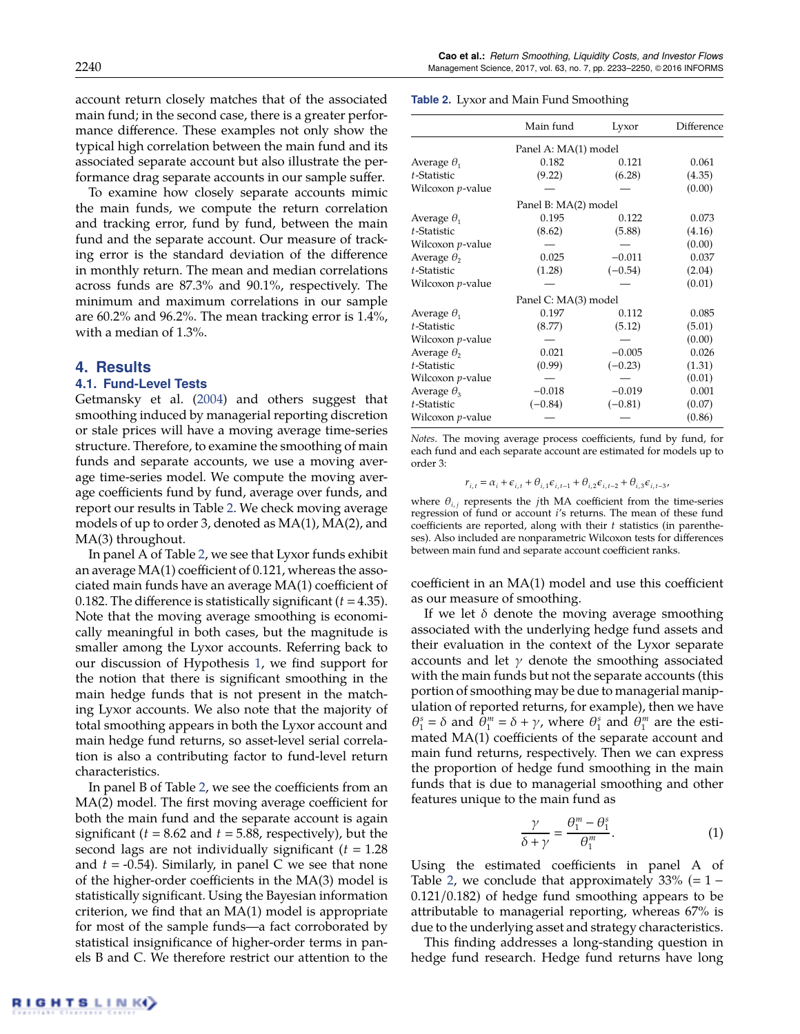account return closely matches that of the associated main fund; in the second case, there is a greater performance difference. These examples not only show the typical high correlation between the main fund and its associated separate account but also illustrate the performance drag separate accounts in our sample suffer.

To examine how closely separate accounts mimic the main funds, we compute the return correlation and tracking error, fund by fund, between the main fund and the separate account. Our measure of tracking error is the standard deviation of the difference in monthly return. The mean and median correlations across funds are 87.3% and 90.1%, respectively. The minimum and maximum correlations in our sample are 60.2% and 96.2%. The mean tracking error is 1.4%, with a median of 1.3%.

## **4. Results**

#### **4.1. Fund-Level Tests**

Getmansky et al. (2004) and others suggest that smoothing induced by managerial reporting discretion or stale prices will have a moving average time-series structure. Therefore, to examine the smoothing of main funds and separate accounts, we use a moving average time-series model. We compute the moving average coefficients fund by fund, average over funds, and report our results in Table 2. We check moving average models of up to order 3, denoted as MA(1), MA(2), and MA(3) throughout.

In panel A of Table 2, we see that Lyxor funds exhibit an average MA(1) coefficient of 0.121, whereas the associated main funds have an average MA(1) coefficient of 0.182. The difference is statistically significant  $(t = 4.35)$ . Note that the moving average smoothing is economically meaningful in both cases, but the magnitude is smaller among the Lyxor accounts. Referring back to our discussion of Hypothesis 1, we find support for the notion that there is significant smoothing in the main hedge funds that is not present in the matching Lyxor accounts. We also note that the majority of total smoothing appears in both the Lyxor account and main hedge fund returns, so asset-level serial correlation is also a contributing factor to fund-level return characteristics.

In panel B of Table 2, we see the coefficients from an MA(2) model. The first moving average coefficient for both the main fund and the separate account is again significant ( $t = 8.62$  and  $t = 5.88$ , respectively), but the second lags are not individually significant  $(t = 1.28)$ and  $t = -0.54$ ). Similarly, in panel C we see that none of the higher-order coefficients in the MA(3) model is statistically significant. Using the Bayesian information criterion, we find that an MA(1) model is appropriate for most of the sample funds—a fact corroborated by statistical insignificance of higher-order terms in panels B and C. We therefore restrict our attention to the

**Table 2.** Lyxor and Main Fund Smoothing

|                      | Main fund            | Lyxor     | Difference |  |  |  |  |
|----------------------|----------------------|-----------|------------|--|--|--|--|
| Panel A: MA(1) model |                      |           |            |  |  |  |  |
| Average $\theta_1$   | 0.182                | 0.121     | 0.061      |  |  |  |  |
| t-Statistic          | (9.22)               | (6.28)    | (4.35)     |  |  |  |  |
| Wilcoxon p-value     |                      |           | (0.00)     |  |  |  |  |
|                      | Panel B: MA(2) model |           |            |  |  |  |  |
| Average $\theta_1$   | 0.195                | 0.122     | 0.073      |  |  |  |  |
| t-Statistic          | (8.62)               | (5.88)    | (4.16)     |  |  |  |  |
| Wilcoxon p-value     |                      |           | (0.00)     |  |  |  |  |
| Average $\theta$ ,   | 0.025                | $-0.011$  | 0.037      |  |  |  |  |
| t-Statistic          | (1.28)               | $(-0.54)$ | (2.04)     |  |  |  |  |
| Wilcoxon p-value     |                      |           | (0.01)     |  |  |  |  |
|                      | Panel C: MA(3) model |           |            |  |  |  |  |
| Average $\theta_1$   | 0.197                | 0.112     | 0.085      |  |  |  |  |
| t-Statistic          | (8.77)               | (5.12)    | (5.01)     |  |  |  |  |
| Wilcoxon p-value     |                      |           | (0.00)     |  |  |  |  |
| Average $\theta$ ,   | 0.021                | $-0.005$  | 0.026      |  |  |  |  |
| t-Statistic          | (0.99)               | $(-0.23)$ | (1.31)     |  |  |  |  |
| Wilcoxon p-value     |                      |           | (0.01)     |  |  |  |  |
| Average $\theta_3$   | $-0.018$             | $-0.019$  | 0.001      |  |  |  |  |
| t-Statistic          | $(-0.84)$            | $(-0.81)$ | (0.07)     |  |  |  |  |
| Wilcoxon p-value     |                      |           | (0.86)     |  |  |  |  |

*Notes.* The moving average process coefficients, fund by fund, for each fund and each separate account are estimated for models up to order 3:

$$
r_{i,t} = \alpha_i + \epsilon_{i,t} + \theta_{i,1}\epsilon_{i,t-1} + \theta_{i,2}\epsilon_{i,t-2} + \theta_{i,3}\epsilon_{i,t-3},
$$

where  $\theta_{i,j}$  represents the *j*th MA coefficient from the time-series regression of fund or account *i*'s returns. The mean of these fund coefficients are reported, along with their *t* statistics (in parentheses). Also included are nonparametric Wilcoxon tests for differences between main fund and separate account coefficient ranks.

coefficient in an MA(1) model and use this coefficient as our measure of smoothing.

If we let  $\delta$  denote the moving average smoothing associated with the underlying hedge fund assets and their evaluation in the context of the Lyxor separate accounts and let  $\gamma$  denote the smoothing associated with the main funds but not the separate accounts (this portion of smoothing may be due to managerial manipulation of reported returns, for example), then we have  $\theta_1^s = \delta$  and  $\hat{\theta}_1^m = \delta + \gamma$ , where  $\theta_1^s$  and  $\theta_1^m$  are the estimated MA(1) coefficients of the separate account and main fund returns, respectively. Then we can express the proportion of hedge fund smoothing in the main funds that is due to managerial smoothing and other features unique to the main fund as

$$
\frac{\gamma}{\delta + \gamma} = \frac{\theta_1^m - \theta_1^s}{\theta_1^m}.
$$
 (1)

Using the estimated coefficients in panel A of Table 2, we conclude that approximately  $33\%$  (= 1 – 0.121/0.182) of hedge fund smoothing appears to be attributable to managerial reporting, whereas 67% is due to the underlying asset and strategy characteristics.

This finding addresses a long-standing question in hedge fund research. Hedge fund returns have long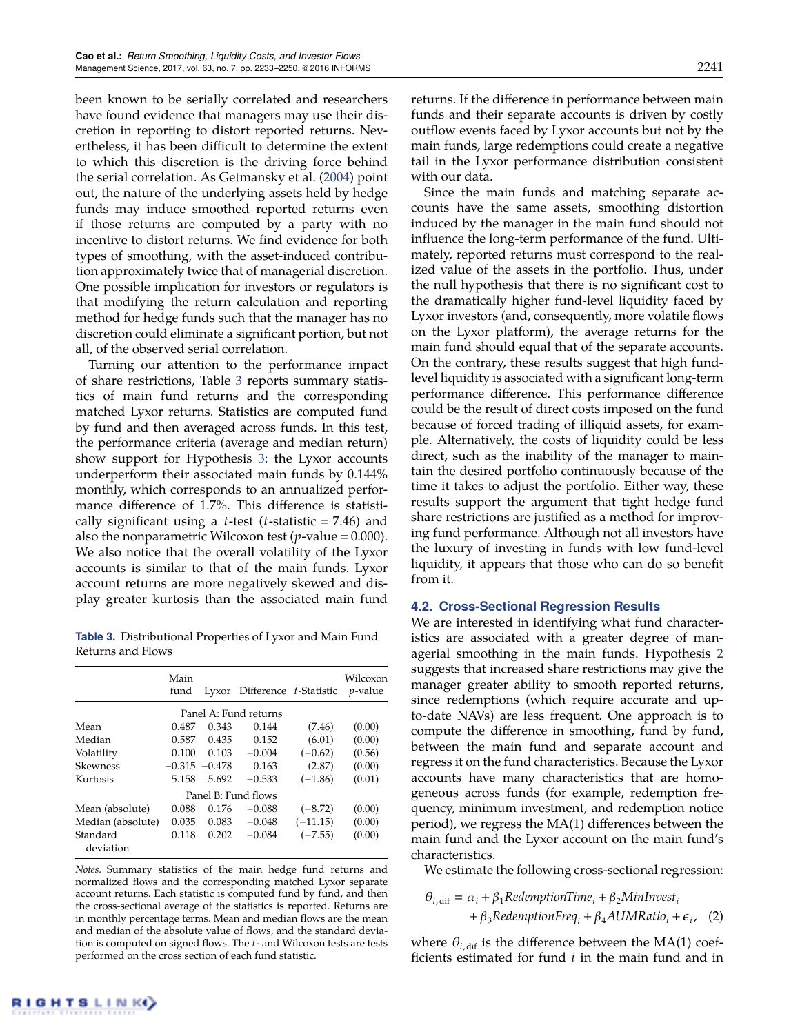been known to be serially correlated and researchers have found evidence that managers may use their discretion in reporting to distort reported returns. Nevertheless, it has been difficult to determine the extent to which this discretion is the driving force behind the serial correlation. As Getmansky et al. (2004) point out, the nature of the underlying assets held by hedge funds may induce smoothed reported returns even if those returns are computed by a party with no incentive to distort returns. We find evidence for both types of smoothing, with the asset-induced contribution approximately twice that of managerial discretion. One possible implication for investors or regulators is that modifying the return calculation and reporting method for hedge funds such that the manager has no discretion could eliminate a significant portion, but not all, of the observed serial correlation.

Turning our attention to the performance impact of share restrictions, Table 3 reports summary statistics of main fund returns and the corresponding matched Lyxor returns. Statistics are computed fund by fund and then averaged across funds. In this test, the performance criteria (average and median return) show support for Hypothesis 3: the Lyxor accounts underperform their associated main funds by 0.144% monthly, which corresponds to an annualized performance difference of 1.7%. This difference is statistically significant using a  $t$ -test ( $t$ -statistic  $= 7.46$ ) and also the nonparametric Wilcoxon test ( $p$ -value = 0.000). We also notice that the overall volatility of the Lyxor accounts is similar to that of the main funds. Lyxor account returns are more negatively skewed and display greater kurtosis than the associated main fund

**Table 3.** Distributional Properties of Lyxor and Main Fund Returns and Flows

|                       | Main<br>fund     |       | Lyxor Difference t-Statistic |            | Wilcoxon<br>$p$ -value |  |  |  |  |
|-----------------------|------------------|-------|------------------------------|------------|------------------------|--|--|--|--|
| Panel A: Fund returns |                  |       |                              |            |                        |  |  |  |  |
| Mean                  | 0.487            | 0.343 | 0.144                        | (7.46)     | (0.00)                 |  |  |  |  |
| Median                | 0.587            | 0.435 | 0.152                        | (6.01)     | (0.00)                 |  |  |  |  |
| Volatility            | 0.100            | 0.103 | $-0.004$                     | $(-0.62)$  | (0.56)                 |  |  |  |  |
| <b>Skewness</b>       | $-0.315 - 0.478$ |       | 0.163                        | (2.87)     | (0.00)                 |  |  |  |  |
| Kurtosis              | 5.158            | 5.692 | $-0.533$                     | $(-1.86)$  | (0.01)                 |  |  |  |  |
|                       |                  |       | Panel B: Fund flows          |            |                        |  |  |  |  |
| Mean (absolute)       | 0.088            | 0.176 | $-0.088$                     | $(-8.72)$  | (0.00)                 |  |  |  |  |
| Median (absolute)     | 0.035            | 0.083 | $-0.048$                     | $(-11.15)$ | (0.00)                 |  |  |  |  |
| Standard<br>deviation | 0.118            | 0.202 | $-0.084$                     | $(-7.55)$  | (0.00)                 |  |  |  |  |

*Notes.* Summary statistics of the main hedge fund returns and normalized flows and the corresponding matched Lyxor separate account returns. Each statistic is computed fund by fund, and then the cross-sectional average of the statistics is reported. Returns are in monthly percentage terms. Mean and median flows are the mean and median of the absolute value of flows, and the standard deviation is computed on signed flows. The *t*- and Wilcoxon tests are tests performed on the cross section of each fund statistic.

returns. If the difference in performance between main funds and their separate accounts is driven by costly outflow events faced by Lyxor accounts but not by the main funds, large redemptions could create a negative tail in the Lyxor performance distribution consistent with our data.

Since the main funds and matching separate accounts have the same assets, smoothing distortion induced by the manager in the main fund should not influence the long-term performance of the fund. Ultimately, reported returns must correspond to the realized value of the assets in the portfolio. Thus, under the null hypothesis that there is no significant cost to the dramatically higher fund-level liquidity faced by Lyxor investors (and, consequently, more volatile flows on the Lyxor platform), the average returns for the main fund should equal that of the separate accounts. On the contrary, these results suggest that high fundlevel liquidity is associated with a significant long-term performance difference. This performance difference could be the result of direct costs imposed on the fund because of forced trading of illiquid assets, for example. Alternatively, the costs of liquidity could be less direct, such as the inability of the manager to maintain the desired portfolio continuously because of the time it takes to adjust the portfolio. Either way, these results support the argument that tight hedge fund share restrictions are justified as a method for improving fund performance. Although not all investors have the luxury of investing in funds with low fund-level liquidity, it appears that those who can do so benefit from it.

# **4.2. Cross-Sectional Regression Results**

We are interested in identifying what fund characteristics are associated with a greater degree of managerial smoothing in the main funds. Hypothesis 2 suggests that increased share restrictions may give the manager greater ability to smooth reported returns, since redemptions (which require accurate and upto-date NAVs) are less frequent. One approach is to compute the difference in smoothing, fund by fund, between the main fund and separate account and regress it on the fund characteristics. Because the Lyxor accounts have many characteristics that are homogeneous across funds (for example, redemption frequency, minimum investment, and redemption notice period), we regress the MA(1) differences between the main fund and the Lyxor account on the main fund's characteristics.

We estimate the following cross-sectional regression:

$$
\theta_{i, \text{dif}} = \alpha_i + \beta_1 \text{RedemptionTime}_i + \beta_2 \text{MinInvest}_i + \beta_3 \text{RedemptionFreq}_i + \beta_4 \text{ALIMRatio}_i + \epsilon_i, \quad (2)
$$

where  $\theta_i$  difference between the MA(1) coefficients estimated for fund *i* in the main fund and in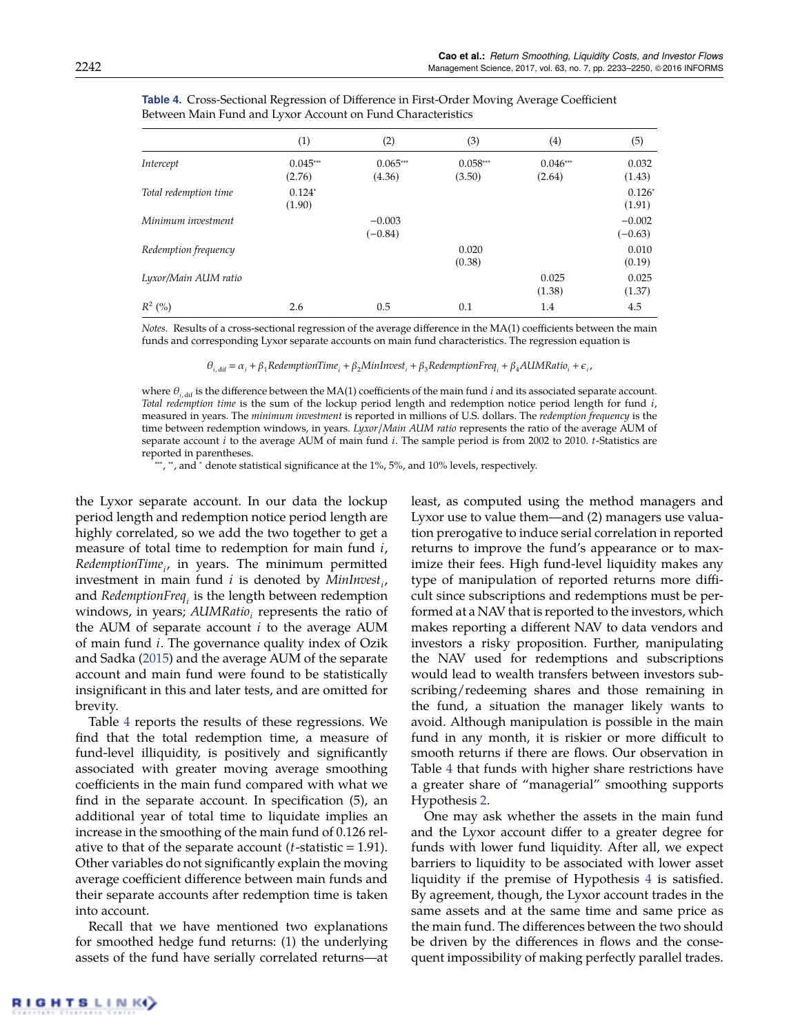|                       | (1)                  | (2)                   | (3)                  | $\left( 4\right)$    | (5)                   |
|-----------------------|----------------------|-----------------------|----------------------|----------------------|-----------------------|
| <i>Intercept</i>      | $0.045***$<br>(2.76) | $0.065***$<br>(4.36)  | $0.058***$<br>(3.50) | $0.046***$<br>(2.64) | 0.032<br>(1.43)       |
| Total redemption time | $0.124*$<br>(1.90)   |                       |                      |                      | $0.126*$<br>(1.91)    |
| Minimum investment    |                      | $-0.003$<br>$(-0.84)$ |                      |                      | $-0.002$<br>$(-0.63)$ |
| Redemption frequency  |                      |                       | 0.020<br>(0.38)      |                      | 0.010<br>(0.19)       |
| Lyxor/Main AUM ratio  |                      |                       |                      | 0.025<br>(1.38)      | 0.025<br>(1.37)       |
| $R^2$ (%)             | 2.6                  | 0.5                   | 0.1                  | 1.4                  | 4.5                   |

**Table 4.** Cross-Sectional Regression of Difference in First-Order Moving Average Coefficient Between Main Fund and Lyxor Account on Fund Characteristics

*Notes.* Results of a cross-sectional regression of the average difference in the MA(1) coefficients between the main funds and corresponding Lyxor separate accounts on main fund characteristics. The regression equation is

 $\theta_{i,\text{dif}} = \alpha_i + \beta_1 \text{RedemptionTime}_i + \beta_2 \text{MinInvest}_i + \beta_3 \text{RedemptionFreq}_i + \beta_4 \text{ALIMRatio}_i + \epsilon_i$ 

where  $\theta_{i, \text{dif}}$  is the difference between the MA(1) coefficients of the main fund *i* and its associated separate account. *Total redemption time* is the sum of the lockup period length and redemption notice period length for fund *i*, measured in years. The *minimum investment* is reported in millions of U.S. dollars. The *redemption frequency* is the time between redemption windows, in years. *Lyxor*/*Main AUM ratio* represents the ratio of the average AUM of separate account *i* to the average AUM of main fund *i*. The sample period is from 2002 to 2010. *t*-Statistics are reported in parentheses.

∗∗∗ , ∗∗, and <sup>∗</sup> denote statistical significance at the 1%, 5%, and 10% levels, respectively.

the Lyxor separate account. In our data the lockup period length and redemption notice period length are highly correlated, so we add the two together to get a measure of total time to redemption for main fund *i*, *RedemptionTime<sup>i</sup>* , in years. The minimum permitted investment in main fund *i* is denoted by *MinInvest<sup>i</sup>* , and *RedemptionFreq<sup>i</sup>* is the length between redemption windows, in years; *AUMRatio<sup>i</sup>* represents the ratio of the AUM of separate account *i* to the average AUM of main fund *i*. The governance quality index of Ozik and Sadka (2015) and the average AUM of the separate account and main fund were found to be statistically insignificant in this and later tests, and are omitted for brevity.

Table 4 reports the results of these regressions. We find that the total redemption time, a measure of fund-level illiquidity, is positively and significantly associated with greater moving average smoothing coefficients in the main fund compared with what we find in the separate account. In specification (5), an additional year of total time to liquidate implies an increase in the smoothing of the main fund of 0.126 relative to that of the separate account  $(t\text{-statistic} = 1.91)$ . Other variables do not significantly explain the moving average coefficient difference between main funds and their separate accounts after redemption time is taken into account.

Recall that we have mentioned two explanations for smoothed hedge fund returns: (1) the underlying assets of the fund have serially correlated returns—at least, as computed using the method managers and Lyxor use to value them—and (2) managers use valuation prerogative to induce serial correlation in reported returns to improve the fund's appearance or to maximize their fees. High fund-level liquidity makes any type of manipulation of reported returns more difficult since subscriptions and redemptions must be performed at a NAV that is reported to the investors, which makes reporting a different NAV to data vendors and investors a risky proposition. Further, manipulating the NAV used for redemptions and subscriptions would lead to wealth transfers between investors subscribing/redeeming shares and those remaining in the fund, a situation the manager likely wants to avoid. Although manipulation is possible in the main fund in any month, it is riskier or more difficult to smooth returns if there are flows. Our observation in Table 4 that funds with higher share restrictions have a greater share of "managerial" smoothing supports Hypothesis 2.

One may ask whether the assets in the main fund and the Lyxor account differ to a greater degree for funds with lower fund liquidity. After all, we expect barriers to liquidity to be associated with lower asset liquidity if the premise of Hypothesis 4 is satisfied. By agreement, though, the Lyxor account trades in the same assets and at the same time and same price as the main fund. The differences between the two should be driven by the differences in flows and the consequent impossibility of making perfectly parallel trades.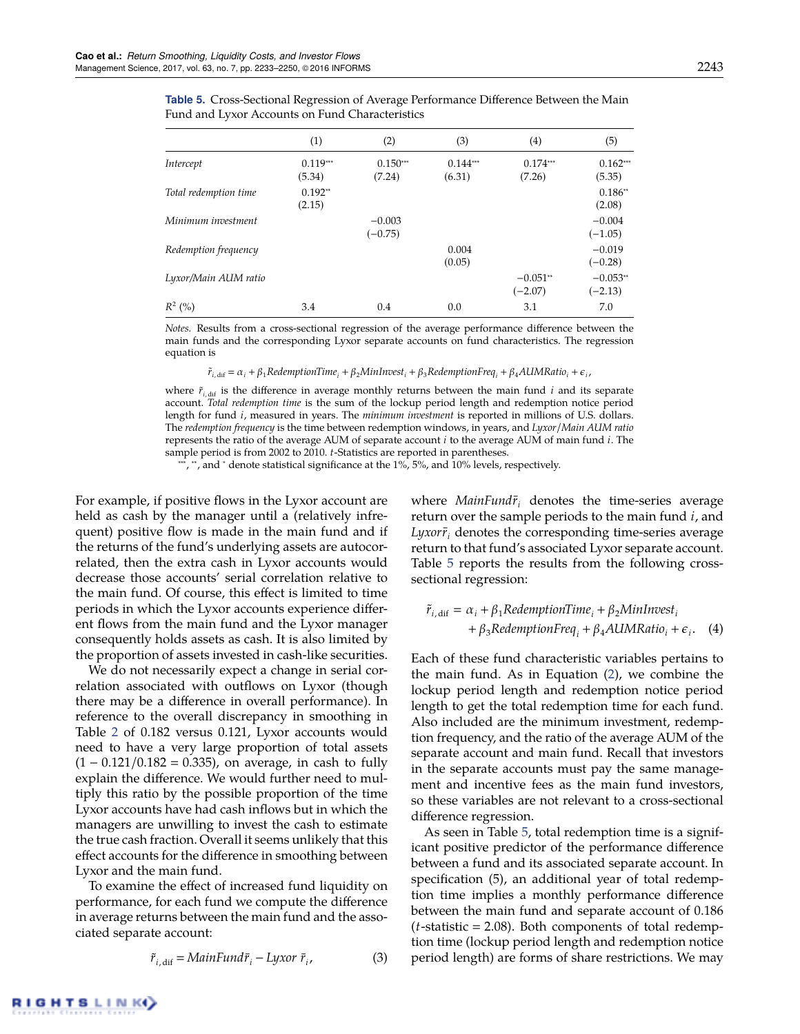**Table 5.** Cross-Sectional Regression of Average Performance Difference Between the Main Fund and Lyxor Accounts on Fund Characteristics

|                       | (1)                  | (2)                   | (3)                  | $\left( 4\right)$       | (5)                     |
|-----------------------|----------------------|-----------------------|----------------------|-------------------------|-------------------------|
| Intercept             | $0.119***$<br>(5.34) | $0.150***$<br>(7.24)  | $0.144***$<br>(6.31) | $0.174***$<br>(7.26)    | $0.162***$<br>(5.35)    |
| Total redemption time | $0.192**$<br>(2.15)  |                       |                      |                         | $0.186**$<br>(2.08)     |
| Minimum investment    |                      | $-0.003$<br>$(-0.75)$ |                      |                         | $-0.004$<br>$(-1.05)$   |
| Redemption frequency  |                      |                       | 0.004<br>(0.05)      |                         | $-0.019$<br>$(-0.28)$   |
| Lyxor/Main AUM ratio  |                      |                       |                      | $-0.051**$<br>$(-2.07)$ | $-0.053**$<br>$(-2.13)$ |
| $R^2$ (%)             | 3.4                  | 0.4                   | 0.0                  | 3.1                     | 7.0                     |

*Notes.* Results from a cross-sectional regression of the average performance difference between the main funds and the corresponding Lyxor separate accounts on fund characteristics. The regression equation is

 $\tilde{r}_{i,\text{dif}} = \alpha_i + \beta_1 \text{RedemptionTime}_i + \beta_2 \text{MinInvest}_i + \beta_3 \text{RedemptionFreq}_i + \beta_4 \text{ALIMRatio}_i + \epsilon_i$ 

where  $\tilde{r}_{i, \text{dif}}$  is the difference in average monthly returns between the main fund  $i$  and its separate account. *Total redemption time* is the sum of the lockup period length and redemption notice period length for fund *i*, measured in years. The *minimum investment* is reported in millions of U.S. dollars. The *redemption frequency* is the time between redemption windows, in years, and *Lyxor*/*Main AUM ratio* represents the ratio of the average AUM of separate account *i* to the average AUM of main fund *i*. The sample period is from 2002 to 2010. *t*-Statistics are reported in parentheses.

<sup>\*\*\*</sup>, <sup>\*\*</sup>, and <sup>\*</sup> denote statistical significance at the 1%, 5%, and 10% levels, respectively.

For example, if positive flows in the Lyxor account are held as cash by the manager until a (relatively infrequent) positive flow is made in the main fund and if the returns of the fund's underlying assets are autocorrelated, then the extra cash in Lyxor accounts would decrease those accounts' serial correlation relative to the main fund. Of course, this effect is limited to time periods in which the Lyxor accounts experience different flows from the main fund and the Lyxor manager consequently holds assets as cash. It is also limited by the proportion of assets invested in cash-like securities.

We do not necessarily expect a change in serial correlation associated with outflows on Lyxor (though there may be a difference in overall performance). In reference to the overall discrepancy in smoothing in Table 2 of 0.182 versus 0.121, Lyxor accounts would need to have a very large proportion of total assets  $(1 - 0.121/0.182 = 0.335)$ , on average, in cash to fully explain the difference. We would further need to multiply this ratio by the possible proportion of the time Lyxor accounts have had cash inflows but in which the managers are unwilling to invest the cash to estimate the true cash fraction. Overall it seems unlikely that this effect accounts for the difference in smoothing between Lyxor and the main fund.

To examine the effect of increased fund liquidity on performance, for each fund we compute the difference in average returns between the main fund and the associated separate account:

$$
\tilde{r}_{i,\text{dif}} = \text{MainFund}\,\bar{r}_i - \text{Lyxor}\,\,\bar{r}_i,\tag{3}
$$

where  $MainFund\bar{r}_i$  denotes the time-series average return over the sample periods to the main fund *i*, and  $Ly x o r \bar{r}_i$  denotes the corresponding time-series average return to that fund's associated Lyxor separate account. Table 5 reports the results from the following crosssectional regression:

$$
\tilde{r}_{i,\text{dif}} = \alpha_i + \beta_1 \text{RedemptionTime}_i + \beta_2 \text{MinInvest}_i + \beta_3 \text{RedemptionFreq}_i + \beta_4 \text{ALMRatio}_i + \epsilon_i.
$$
 (4)

Each of these fund characteristic variables pertains to the main fund. As in Equation (2), we combine the lockup period length and redemption notice period length to get the total redemption time for each fund. Also included are the minimum investment, redemption frequency, and the ratio of the average AUM of the separate account and main fund. Recall that investors in the separate accounts must pay the same management and incentive fees as the main fund investors, so these variables are not relevant to a cross-sectional difference regression.

As seen in Table 5, total redemption time is a significant positive predictor of the performance difference between a fund and its associated separate account. In specification (5), an additional year of total redemption time implies a monthly performance difference between the main fund and separate account of 0.186  $(t$ -statistic  $= 2.08$ ). Both components of total redemption time (lockup period length and redemption notice period length) are forms of share restrictions. We may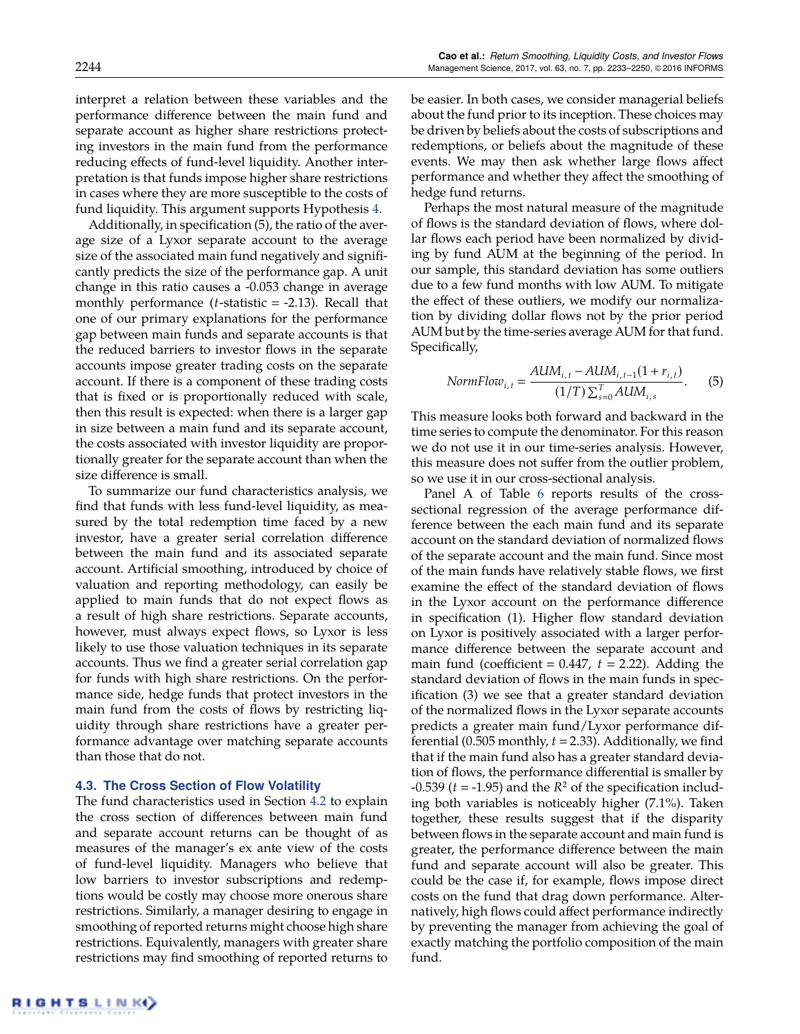interpret a relation between these variables and the performance difference between the main fund and separate account as higher share restrictions protecting investors in the main fund from the performance reducing effects of fund-level liquidity. Another interpretation is that funds impose higher share restrictions in cases where they are more susceptible to the costs of fund liquidity. This argument supports Hypothesis 4.

Additionally, in specification (5), the ratio of the average size of a Lyxor separate account to the average size of the associated main fund negatively and significantly predicts the size of the performance gap. A unit change in this ratio causes a -0.053 change in average monthly performance  $(t$ -statistic  $= -2.13$ ). Recall that one of our primary explanations for the performance gap between main funds and separate accounts is that the reduced barriers to investor flows in the separate accounts impose greater trading costs on the separate account. If there is a component of these trading costs that is fixed or is proportionally reduced with scale, then this result is expected: when there is a larger gap in size between a main fund and its separate account, the costs associated with investor liquidity are proportionally greater for the separate account than when the size difference is small.

To summarize our fund characteristics analysis, we find that funds with less fund-level liquidity, as measured by the total redemption time faced by a new investor, have a greater serial correlation difference between the main fund and its associated separate account. Artificial smoothing, introduced by choice of valuation and reporting methodology, can easily be applied to main funds that do not expect flows as a result of high share restrictions. Separate accounts, however, must always expect flows, so Lyxor is less likely to use those valuation techniques in its separate accounts. Thus we find a greater serial correlation gap for funds with high share restrictions. On the performance side, hedge funds that protect investors in the main fund from the costs of flows by restricting liquidity through share restrictions have a greater performance advantage over matching separate accounts than those that do not.

### **4.3. The Cross Section of Flow Volatility**

The fund characteristics used in Section 4.2 to explain the cross section of differences between main fund and separate account returns can be thought of as measures of the manager's ex ante view of the costs of fund-level liquidity. Managers who believe that low barriers to investor subscriptions and redemptions would be costly may choose more onerous share restrictions. Similarly, a manager desiring to engage in smoothing of reported returns might choose high share restrictions. Equivalently, managers with greater share restrictions may find smoothing of reported returns to be easier. In both cases, we consider managerial beliefs about the fund prior to its inception. These choices may be driven by beliefs about the costs of subscriptions and redemptions, or beliefs about the magnitude of these events. We may then ask whether large flows affect performance and whether they affect the smoothing of hedge fund returns.

Perhaps the most natural measure of the magnitude of flows is the standard deviation of flows, where dollar flows each period have been normalized by dividing by fund AUM at the beginning of the period. In our sample, this standard deviation has some outliers due to a few fund months with low AUM. To mitigate the effect of these outliers, we modify our normalization by dividing dollar flows not by the prior period AUM but by the time-series average AUM for that fund. Specifically,

$$
NormFlow_{i,t} = \frac{AUM_{i,t} - AUM_{i,t-1}(1 + r_{i,t})}{(1/T)\sum_{s=0}^{T} AUM_{i,s}}.
$$
 (5)

This measure looks both forward and backward in the time series to compute the denominator. For this reason we do not use it in our time-series analysis. However, this measure does not suffer from the outlier problem, so we use it in our cross-sectional analysis.

Panel A of Table 6 reports results of the crosssectional regression of the average performance difference between the each main fund and its separate account on the standard deviation of normalized flows of the separate account and the main fund. Since most of the main funds have relatively stable flows, we first examine the effect of the standard deviation of flows in the Lyxor account on the performance difference in specification (1). Higher flow standard deviation on Lyxor is positively associated with a larger performance difference between the separate account and main fund (coefficient  $= 0.447$ ,  $t = 2.22$ ). Adding the standard deviation of flows in the main funds in specification (3) we see that a greater standard deviation of the normalized flows in the Lyxor separate accounts predicts a greater main fund/Lyxor performance differential (0.505 monthly,  $t = 2.33$ ). Additionally, we find that if the main fund also has a greater standard deviation of flows, the performance differential is smaller by  $-0.539$  ( $t = -1.95$ ) and the  $R^2$  of the specification including both variables is noticeably higher (7.1%). Taken together, these results suggest that if the disparity between flows in the separate account and main fund is greater, the performance difference between the main fund and separate account will also be greater. This could be the case if, for example, flows impose direct costs on the fund that drag down performance. Alternatively, high flows could affect performance indirectly by preventing the manager from achieving the goal of exactly matching the portfolio composition of the main fund.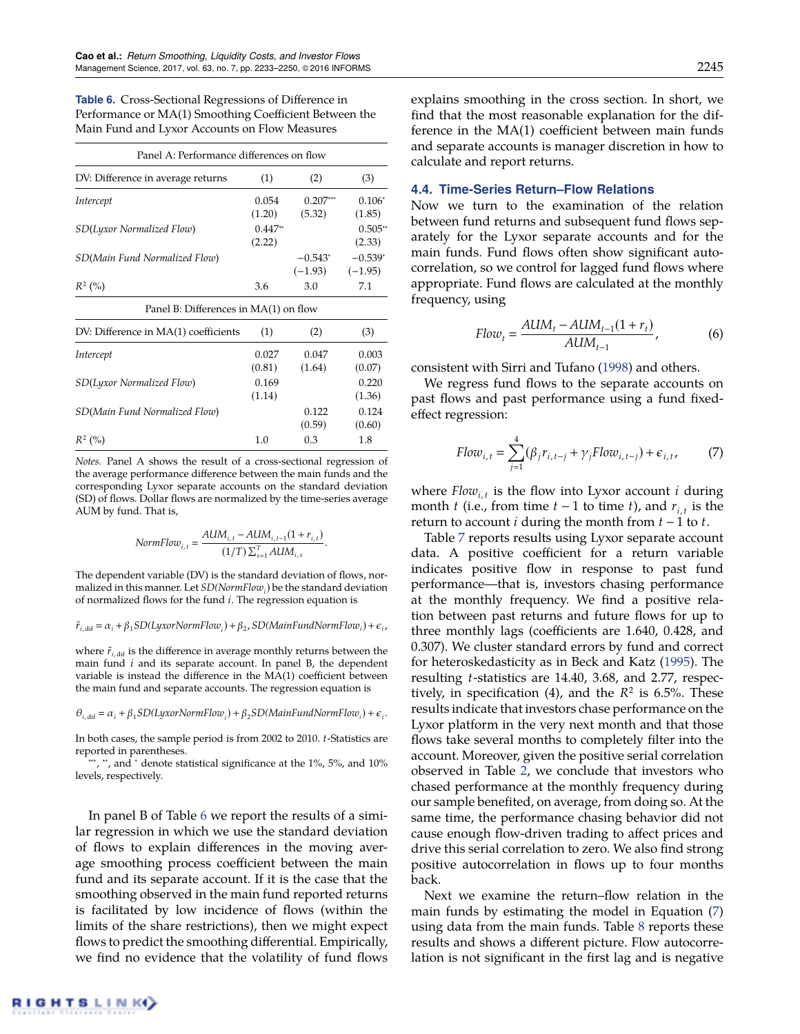| <b>Table 6.</b> Cross-Sectional Regressions of Difference in |
|--------------------------------------------------------------|
| Performance or MA(1) Smoothing Coefficient Between the       |
| Main Fund and Lyxor Accounts on Flow Measures                |

| Panel A: Performance differences on flow |                     |                         |                        |  |  |  |
|------------------------------------------|---------------------|-------------------------|------------------------|--|--|--|
| DV: Difference in average returns        | (1)                 | (2)                     | (3)                    |  |  |  |
| Intercept                                | 0.054<br>(1.20)     | $0.207***$<br>(5.32)    | $0.106*$<br>(1.85)     |  |  |  |
| SD(Lyxor Normalized Flow)                | $0.447**$<br>(2.22) |                         | $0.505**$<br>(2.33)    |  |  |  |
| SD(Main Fund Normalized Flow)            |                     | $-0.543^*$<br>$(-1.93)$ | $-0.539*$<br>$(-1.95)$ |  |  |  |
| $R^2$ (%)                                | 3.6                 | 3.0                     | 7.1                    |  |  |  |
| Panel B: Differences in MA(1) on flow    |                     |                         |                        |  |  |  |
| DV: Difference in MA(1) coefficients     | (1)                 | (2)                     | (3)                    |  |  |  |
| Intercept                                | 0.027<br>(0.81)     | 0.047<br>(1.64)         | 0.003<br>(0.07)        |  |  |  |
| SD(Lyxor Normalized Flow)                | 0.169<br>(1.14)     |                         | 0.220<br>(1.36)        |  |  |  |
| SD(Main Fund Normalized Flow)            |                     | 0.122<br>(0.59)         | 0.124<br>(0.60)        |  |  |  |
| $R^2$ (%)                                | 1.0                 | 0.3                     | 1.8                    |  |  |  |

*Notes.* Panel A shows the result of a cross-sectional regression of the average performance difference between the main funds and the corresponding Lyxor separate accounts on the standard deviation (SD) of flows. Dollar flows are normalized by the time-series average AUM by fund. That is,

$$
NormFlow_{i,t} = \frac{AUM_{i,t} - AUM_{i,t-1}(1+r_{i,t})}{(1/T)\sum_{s=1}^{T} AUM_{i,s}}.
$$

The dependent variable (DV) is the standard deviation of flows, normalized in this manner. Let *SD(NormFlow<sup>i</sup>* ) be the standard deviation of normalized flows for the fund *i*. The regression equation is

$$
\tilde{r}_{i,\text{dif}} = \alpha_i + \beta_1 SD(Lyx or NormFlow_i) + \beta_2, SD(MainFundNormFlow_i) + \epsilon_i,
$$

where  $\tilde{r}_{i,\rm{dif}}$  is the difference in average monthly returns between the main fund *i* and its separate account. In panel B, the dependent variable is instead the difference in the MA(1) coefficient between the main fund and separate accounts. The regression equation is

$$
\theta_{i,\text{dif}}=\alpha_i+\beta_1 SD(LyxorNormFlow_i)+\beta_2 SD(MainFundNormFlow_i)+\epsilon_i.
$$

In both cases, the sample period is from 2002 to 2010. *t*-Statistics are reported in parentheses.

∗∗∗ , ∗∗, and <sup>∗</sup> denote statistical significance at the 1%, 5%, and 10% levels, respectively.

In panel B of Table 6 we report the results of a similar regression in which we use the standard deviation of flows to explain differences in the moving average smoothing process coefficient between the main fund and its separate account. If it is the case that the smoothing observed in the main fund reported returns is facilitated by low incidence of flows (within the limits of the share restrictions), then we might expect flows to predict the smoothing differential. Empirically, we find no evidence that the volatility of fund flows explains smoothing in the cross section. In short, we find that the most reasonable explanation for the difference in the MA(1) coefficient between main funds and separate accounts is manager discretion in how to calculate and report returns.

### **4.4. Time-Series Return–Flow Relations**

Now we turn to the examination of the relation between fund returns and subsequent fund flows separately for the Lyxor separate accounts and for the main funds. Fund flows often show significant autocorrelation, so we control for lagged fund flows where appropriate. Fund flows are calculated at the monthly frequency, using

$$
Flow_t = \frac{AUM_t - AUM_{t-1}(1+r_t)}{AUM_{t-1}},
$$
\n(6)

consistent with Sirri and Tufano (1998) and others.

We regress fund flows to the separate accounts on past flows and past performance using a fund fixedeffect regression:

$$
Flow_{i,t} = \sum_{j=1}^{4} (\beta_j r_{i,t-j} + \gamma_j Flow_{i,t-j}) + \epsilon_{i,t},
$$
 (7)

where *Flowi*, *<sup>t</sup>* is the flow into Lyxor account *i* during month *t* (i.e., from time  $t - 1$  to time *t*), and  $r_{i,t}$  is the return to account *i* during the month from *t* −1 to *t*.

Table 7 reports results using Lyxor separate account data. A positive coefficient for a return variable indicates positive flow in response to past fund performance—that is, investors chasing performance at the monthly frequency. We find a positive relation between past returns and future flows for up to three monthly lags (coefficients are 1.640, 0.428, and 0.307). We cluster standard errors by fund and correct for heteroskedasticity as in Beck and Katz (1995). The resulting *t*-statistics are 14.40, 3.68, and 2.77, respectively, in specification (4), and the  $R^2$  is 6.5%. These results indicate that investors chase performance on the Lyxor platform in the very next month and that those flows take several months to completely filter into the account. Moreover, given the positive serial correlation observed in Table 2, we conclude that investors who chased performance at the monthly frequency during our sample benefited, on average, from doing so. At the same time, the performance chasing behavior did not cause enough flow-driven trading to affect prices and drive this serial correlation to zero. We also find strong positive autocorrelation in flows up to four months back.

Next we examine the return–flow relation in the main funds by estimating the model in Equation (7) using data from the main funds. Table 8 reports these results and shows a different picture. Flow autocorrelation is not significant in the first lag and is negative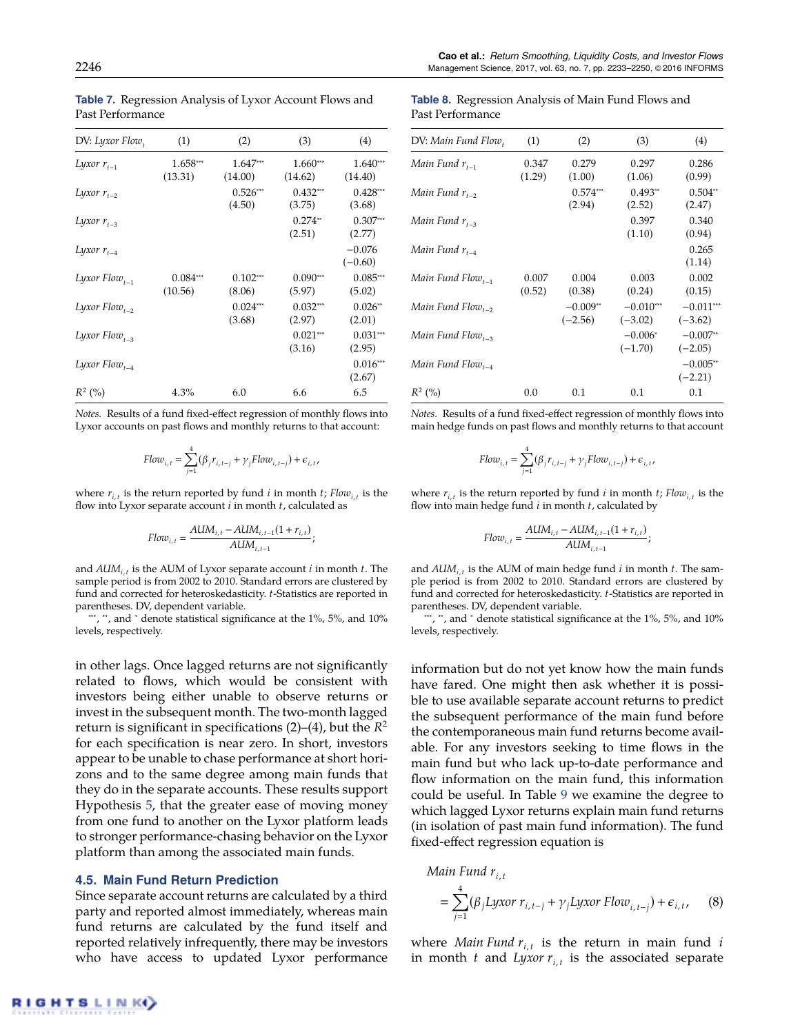| DV: Lyxor Flow,    | (1)                   | (2)                   | (3)                   | (4)                   |
|--------------------|-----------------------|-----------------------|-----------------------|-----------------------|
| Lyxor $r_{t-1}$    | $1.658***$<br>(13.31) | $1.647***$<br>(14.00) | $1.660***$<br>(14.62) | $1.640***$<br>(14.40) |
| Lyxor $r_{t-2}$    |                       | $0.526***$<br>(4.50)  | $0.432***$<br>(3.75)  | $0.428***$<br>(3.68)  |
| Lyxor $r_{t-3}$    |                       |                       | $0.274**$<br>(2.51)   | $0.307***$<br>(2.77)  |
| Lyxor $r_{t-4}$    |                       |                       |                       | $-0.076$<br>$(-0.60)$ |
| Lyxor $Flow_{t-1}$ | $0.084***$<br>(10.56) | $0.102***$<br>(8.06)  | $0.090***$<br>(5.97)  | $0.085***$<br>(5.02)  |
| Lyxor $Flow_{+-2}$ |                       | $0.024***$<br>(3.68)  | $0.032***$<br>(2.97)  | $0.026**$<br>(2.01)   |
| Lyxor $Flow_{t-3}$ |                       |                       | $0.021***$<br>(3.16)  | $0.031***$<br>(2.95)  |
| Lyxor $Flow_{t=4}$ |                       |                       |                       | $0.016***$<br>(2.67)  |
| $R^2$ (%)          | 4.3%                  | 6.0                   | 6.6                   | 6.5                   |

**Table 7.** Regression Analysis of Lyxor Account Flows and Past Performance

*Notes.* Results of a fund fixed-effect regression of monthly flows into Lyxor accounts on past flows and monthly returns to that account:

$$
Flow_{i,t} = \sum_{j=1}^{4} (\beta_j r_{i,t-j} + \gamma_j Flow_{i,t-j}) + \epsilon_{i,t}
$$

,

where  $r_{i,t}$  is the return reported by fund  $i$  in month  $t$ ; *Flow*<sub>i,t</sub> is the flow into Lyxor separate account *i* in month *t*, calculated as

$$
Flow_{i,t} = \frac{AUM_{i,t} - AUM_{i,t-1}(1 + r_{i,t})}{AUM_{i,t-1}};
$$

and *AUMi*, *<sup>t</sup>* is the AUM of Lyxor separate account *i* in month *t*. The sample period is from 2002 to 2010. Standard errors are clustered by fund and corrected for heteroskedasticity. *t*-Statistics are reported in parentheses. DV, dependent variable.

∗∗∗ , ∗∗, and <sup>∗</sup> denote statistical significance at the 1%, 5%, and 10% levels, respectively.

in other lags. Once lagged returns are not significantly related to flows, which would be consistent with investors being either unable to observe returns or invest in the subsequent month. The two-month lagged return is significant in specifications (2)–(4), but the *R* 2 for each specification is near zero. In short, investors appear to be unable to chase performance at short horizons and to the same degree among main funds that they do in the separate accounts. These results support Hypothesis 5, that the greater ease of moving money from one fund to another on the Lyxor platform leads to stronger performance-chasing behavior on the Lyxor platform than among the associated main funds.

#### **4.5. Main Fund Return Prediction**

Since separate account returns are calculated by a third party and reported almost immediately, whereas main fund returns are calculated by the fund itself and reported relatively infrequently, there may be investors who have access to updated Lyxor performance

| Table 8. Regression Analysis of Main Fund Flows and |  |  |  |
|-----------------------------------------------------|--|--|--|
| Past Performance                                    |  |  |  |

| DV: Main Fund Flow,                           | (1)             | (2)                     | (3)                      | (4)                      |
|-----------------------------------------------|-----------------|-------------------------|--------------------------|--------------------------|
| Main Fund $r_{t-1}$                           | 0.347<br>(1.29) | 0.279<br>(1.00)         | 0.297<br>(1.06)          | 0.286<br>(0.99)          |
| Main Fund $r_{t-2}$                           |                 | $0.574***$<br>(2.94)    | $0.493**$<br>(2.52)      | $0.504**$<br>(2.47)      |
| Main Fund $r_{t-3}$                           |                 |                         | 0.397<br>(1.10)          | 0.340<br>(0.94)          |
| Main Fund $r_{t-4}$                           |                 |                         |                          | 0.265<br>(1.14)          |
| Main Fund Flow <sub><math>-1</math></sub>     | 0.007<br>(0.52) | 0.004<br>(0.38)         | 0.003<br>(0.24)          | 0.002<br>(0.15)          |
| Main Fund Flow <sub><math>_{t=2}</math></sub> |                 | $-0.009**$<br>$(-2.56)$ | $-0.010***$<br>$(-3.02)$ | $-0.011***$<br>$(-3.62)$ |
| Main Fund Flow <sub><math>_{t=3}</math></sub> |                 |                         | $-0.006*$<br>$(-1.70)$   | $-0.007**$<br>$(-2.05)$  |
| Main Fund Flow <sub><math>t-4</math></sub>    |                 |                         |                          | $-0.005**$<br>$(-2.21)$  |
| $R^2$ (%)                                     | 0.0             | 0.1                     | 0.1                      | 0.1                      |

| Notes. Results of a fund fixed-effect regression of monthly flows into |  |  |
|------------------------------------------------------------------------|--|--|
| main hedge funds on past flows and monthly returns to that account     |  |  |

$$
Flow_{i,t} = \sum_{j=1}^{4} (\beta_j r_{i,t-j} + \gamma_j Flow_{i,t-j}) + \epsilon_{i,t}
$$

where  $r_{i,t}$  is the return reported by fund  $i$  in month  $t$ ;  $Flow_{i,t}$  is the flow into main hedge fund *i* in month *t*, calculated by

$$
Flow_{i,t} = \frac{AUM_{i,t} - AUM_{i,t-1}(1 + r_{i,t})}{AUM_{i,t-1}};
$$

and *AUMi*, *<sup>t</sup>* is the AUM of main hedge fund *i* in month *t*. The sample period is from 2002 to 2010. Standard errors are clustered by fund and corrected for heteroskedasticity. *t*-Statistics are reported in parentheses. DV, dependent variable.

∗∗∗ , ∗∗, and <sup>∗</sup> denote statistical significance at the 1%, 5%, and 10% levels, respectively.

information but do not yet know how the main funds have fared. One might then ask whether it is possible to use available separate account returns to predict the subsequent performance of the main fund before the contemporaneous main fund returns become available. For any investors seeking to time flows in the main fund but who lack up-to-date performance and flow information on the main fund, this information could be useful. In Table 9 we examine the degree to which lagged Lyxor returns explain main fund returns (in isolation of past main fund information). The fund fixed-effect regression equation is

Main Fund 
$$
r_{i,t}
$$
  
= 
$$
\sum_{j=1}^{4} (\beta_j L y x or r_{i,t-j} + \gamma_j L y x or Flow_{i,t-j}) + \epsilon_{i,t},
$$
 (8)

where *Main Fund ri*, *<sup>t</sup>* is the return in main fund *i* in month *t* and *Lyxor ri*, *<sup>t</sup>* is the associated separate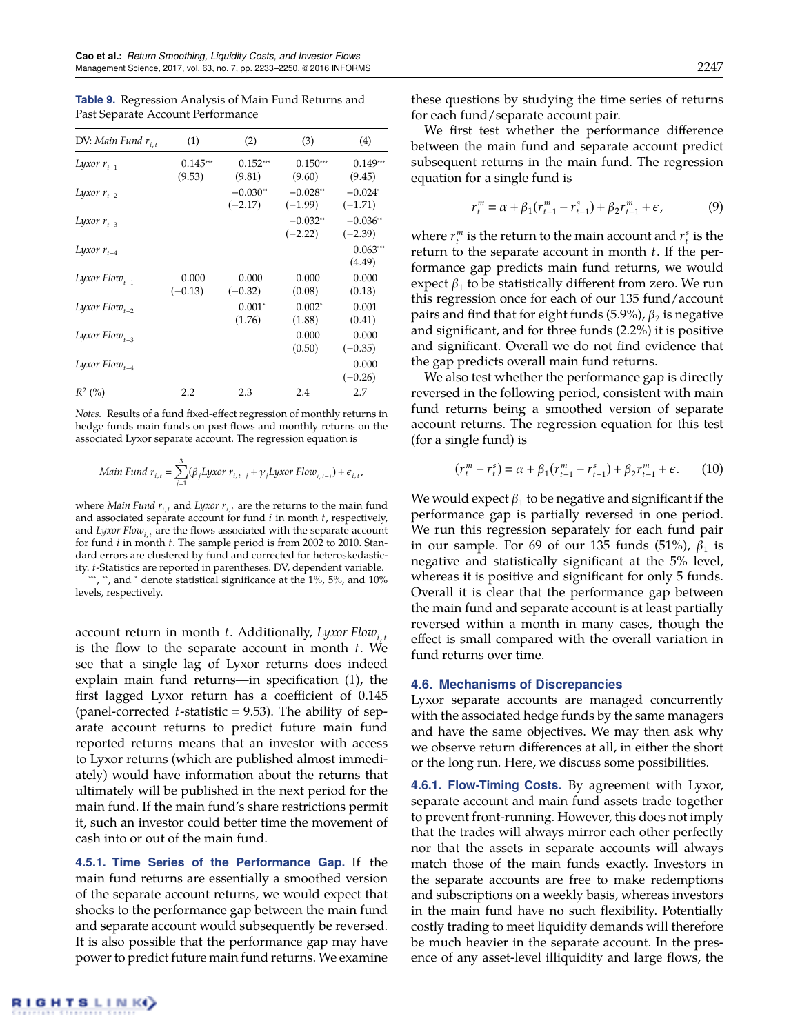| <b>Table 9.</b> Regression Analysis of Main Fund Returns and |  |  |  |
|--------------------------------------------------------------|--|--|--|
| Past Separate Account Performance                            |  |  |  |

| DV: Main Fund $r_{i,t}$ | (1)                  | (2)                     | (3)                     | (4)                     |
|-------------------------|----------------------|-------------------------|-------------------------|-------------------------|
| Lyxor $r_{t-1}$         | $0.145***$<br>(9.53) | $0.152***$<br>(9.81)    | $0.150***$<br>(9.60)    | $0.149***$<br>(9.45)    |
| Lyxor $r_{t-2}$         |                      | $-0.030**$<br>$(-2.17)$ | $-0.028**$<br>$(-1.99)$ | $-0.024*$<br>$(-1.71)$  |
| Lyxor $r_{t-3}$         |                      |                         | $-0.032**$<br>$(-2.22)$ | $-0.036**$<br>$(-2.39)$ |
| Lyxor $r_{t-4}$         |                      |                         |                         | $0.063***$<br>(4.49)    |
| Lyxor $Flow_{t-1}$      | 0.000<br>$(-0.13)$   | 0.000<br>$(-0.32)$      | 0.000<br>(0.08)         | 0.000<br>(0.13)         |
| Lyxor $Flow_{+-2}$      |                      | $0.001*$<br>(1.76)      | $0.002*$<br>(1.88)      | 0.001<br>(0.41)         |
| Lyxor $Flow_{t-3}$      |                      |                         | 0.000<br>(0.50)         | 0.000<br>$(-0.35)$      |
| Lyxor $Flow_{t=4}$      |                      |                         |                         | 0.000<br>$(-0.26)$      |
| $R^2$ (%)               | 2.2                  | 2.3                     | 2.4                     | 2.7                     |

*Notes.* Results of a fund fixed-effect regression of monthly returns in hedge funds main funds on past flows and monthly returns on the associated Lyxor separate account. The regression equation is

Main Fund 
$$
r_{i,t} = \sum_{j=1}^{3} (\beta_j L y x \text{ or } r_{i,t-j} + \gamma_j L y x \text{ or } Flow_{i,t-j}) + \epsilon_{i,t}
$$

where *Main Fund*  $r_{i,t}$  and *Lyxor*  $r_{i,t}$  are the returns to the main fund and associated separate account for fund *i* in month *t*, respectively, and *Lyxor Flow<sub>i,t</sub>* are the flows associated with the separate account for fund *i* in month *t*. The sample period is from 2002 to 2010. Standard errors are clustered by fund and corrected for heteroskedasticity. *t*-Statistics are reported in parentheses. DV, dependent variable. ∗∗∗ , ∗∗, and <sup>∗</sup> denote statistical significance at the 1%, 5%, and 10% levels, respectively.

account return in month *t*. Additionally, *Lyxor Flowi*, *<sup>t</sup>* is the flow to the separate account in month *t*. We see that a single lag of Lyxor returns does indeed explain main fund returns—in specification (1), the first lagged Lyxor return has a coefficient of 0.145 (panel-corrected  $t$ -statistic  $= 9.53$ ). The ability of separate account returns to predict future main fund reported returns means that an investor with access to Lyxor returns (which are published almost immediately) would have information about the returns that ultimately will be published in the next period for the main fund. If the main fund's share restrictions permit it, such an investor could better time the movement of cash into or out of the main fund.

**4.5.1. Time Series of the Performance Gap.** If the main fund returns are essentially a smoothed version of the separate account returns, we would expect that shocks to the performance gap between the main fund and separate account would subsequently be reversed. It is also possible that the performance gap may have power to predict future main fund returns. We examine these questions by studying the time series of returns for each fund/separate account pair.

We first test whether the performance difference between the main fund and separate account predict subsequent returns in the main fund. The regression equation for a single fund is

$$
r_t^m = \alpha + \beta_1 (r_{t-1}^m - r_{t-1}^s) + \beta_2 r_{t-1}^m + \epsilon, \tag{9}
$$

where  $r_t^m$  is the return to the main account and  $r_t^s$  is the return to the separate account in month *t*. If the performance gap predicts main fund returns, we would expect  $\beta_1$  to be statistically different from zero. We run this regression once for each of our 135 fund/account pairs and find that for eight funds (5.9%),  $\beta_2$  is negative and significant, and for three funds (2.2%) it is positive and significant. Overall we do not find evidence that the gap predicts overall main fund returns.

We also test whether the performance gap is directly reversed in the following period, consistent with main fund returns being a smoothed version of separate account returns. The regression equation for this test (for a single fund) is

$$
(r_t^m - r_t^s) = \alpha + \beta_1 (r_{t-1}^m - r_{t-1}^s) + \beta_2 r_{t-1}^m + \epsilon. \tag{10}
$$

We would expect  $\beta_1$  to be negative and significant if the performance gap is partially reversed in one period. We run this regression separately for each fund pair in our sample. For 69 of our 135 funds (51%),  $\beta_1$  is negative and statistically significant at the 5% level, whereas it is positive and significant for only 5 funds. Overall it is clear that the performance gap between the main fund and separate account is at least partially reversed within a month in many cases, though the effect is small compared with the overall variation in fund returns over time.

#### **4.6. Mechanisms of Discrepancies**

Lyxor separate accounts are managed concurrently with the associated hedge funds by the same managers and have the same objectives. We may then ask why we observe return differences at all, in either the short or the long run. Here, we discuss some possibilities.

**4.6.1. Flow-Timing Costs.** By agreement with Lyxor, separate account and main fund assets trade together to prevent front-running. However, this does not imply that the trades will always mirror each other perfectly nor that the assets in separate accounts will always match those of the main funds exactly. Investors in the separate accounts are free to make redemptions and subscriptions on a weekly basis, whereas investors in the main fund have no such flexibility. Potentially costly trading to meet liquidity demands will therefore be much heavier in the separate account. In the presence of any asset-level illiquidity and large flows, the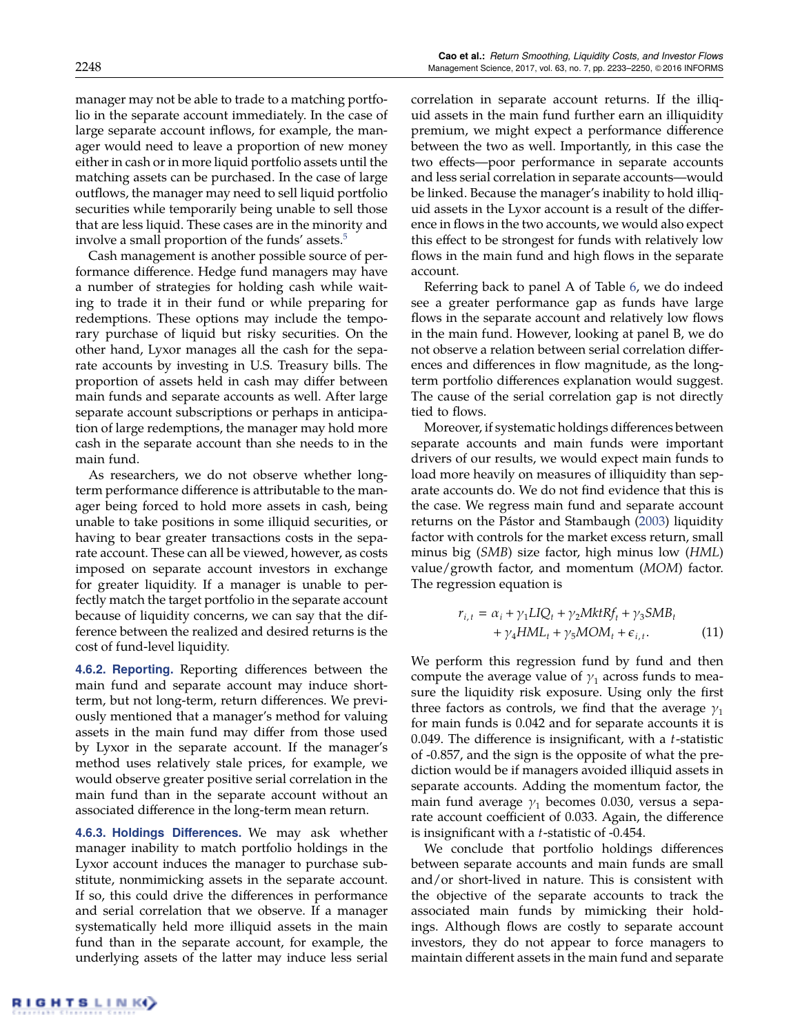manager may not be able to trade to a matching portfolio in the separate account immediately. In the case of large separate account inflows, for example, the manager would need to leave a proportion of new money either in cash or in more liquid portfolio assets until the matching assets can be purchased. In the case of large outflows, the manager may need to sell liquid portfolio securities while temporarily being unable to sell those that are less liquid. These cases are in the minority and involve a small proportion of the funds' assets.<sup>5</sup>

Cash management is another possible source of performance difference. Hedge fund managers may have a number of strategies for holding cash while waiting to trade it in their fund or while preparing for redemptions. These options may include the temporary purchase of liquid but risky securities. On the other hand, Lyxor manages all the cash for the separate accounts by investing in U.S. Treasury bills. The proportion of assets held in cash may differ between main funds and separate accounts as well. After large separate account subscriptions or perhaps in anticipation of large redemptions, the manager may hold more cash in the separate account than she needs to in the main fund.

As researchers, we do not observe whether longterm performance difference is attributable to the manager being forced to hold more assets in cash, being unable to take positions in some illiquid securities, or having to bear greater transactions costs in the separate account. These can all be viewed, however, as costs imposed on separate account investors in exchange for greater liquidity. If a manager is unable to perfectly match the target portfolio in the separate account because of liquidity concerns, we can say that the difference between the realized and desired returns is the cost of fund-level liquidity.

**4.6.2. Reporting.** Reporting differences between the main fund and separate account may induce shortterm, but not long-term, return differences. We previously mentioned that a manager's method for valuing assets in the main fund may differ from those used by Lyxor in the separate account. If the manager's method uses relatively stale prices, for example, we would observe greater positive serial correlation in the main fund than in the separate account without an associated difference in the long-term mean return.

**4.6.3. Holdings Differences.** We may ask whether manager inability to match portfolio holdings in the Lyxor account induces the manager to purchase substitute, nonmimicking assets in the separate account. If so, this could drive the differences in performance and serial correlation that we observe. If a manager systematically held more illiquid assets in the main fund than in the separate account, for example, the underlying assets of the latter may induce less serial correlation in separate account returns. If the illiquid assets in the main fund further earn an illiquidity premium, we might expect a performance difference between the two as well. Importantly, in this case the two effects—poor performance in separate accounts and less serial correlation in separate accounts—would be linked. Because the manager's inability to hold illiquid assets in the Lyxor account is a result of the difference in flows in the two accounts, we would also expect this effect to be strongest for funds with relatively low flows in the main fund and high flows in the separate account.

Referring back to panel A of Table 6, we do indeed see a greater performance gap as funds have large flows in the separate account and relatively low flows in the main fund. However, looking at panel B, we do not observe a relation between serial correlation differences and differences in flow magnitude, as the longterm portfolio differences explanation would suggest. The cause of the serial correlation gap is not directly tied to flows.

Moreover, if systematic holdings differences between separate accounts and main funds were important drivers of our results, we would expect main funds to load more heavily on measures of illiquidity than separate accounts do. We do not find evidence that this is the case. We regress main fund and separate account returns on the Pástor and Stambaugh (2003) liquidity factor with controls for the market excess return, small minus big (*SMB*) size factor, high minus low (*HML*) value/growth factor, and momentum (*MOM*) factor. The regression equation is

$$
r_{i,t} = \alpha_i + \gamma_1 L I Q_t + \gamma_2 M k t R f_t + \gamma_3 S M B_t
$$
  
+  $\gamma_4 H M L_t + \gamma_5 M O M_t + \epsilon_{i,t}.$  (11)

We perform this regression fund by fund and then compute the average value of  $\gamma_1$  across funds to measure the liquidity risk exposure. Using only the first three factors as controls, we find that the average  $\gamma_1$ for main funds is 0.042 and for separate accounts it is 0.049. The difference is insignificant, with a *t*-statistic of -0.857, and the sign is the opposite of what the prediction would be if managers avoided illiquid assets in separate accounts. Adding the momentum factor, the main fund average  $\gamma_1$  becomes 0.030, versus a separate account coefficient of 0.033. Again, the difference is insignificant with a *t*-statistic of -0.454.

We conclude that portfolio holdings differences between separate accounts and main funds are small and/or short-lived in nature. This is consistent with the objective of the separate accounts to track the associated main funds by mimicking their holdings. Although flows are costly to separate account investors, they do not appear to force managers to maintain different assets in the main fund and separate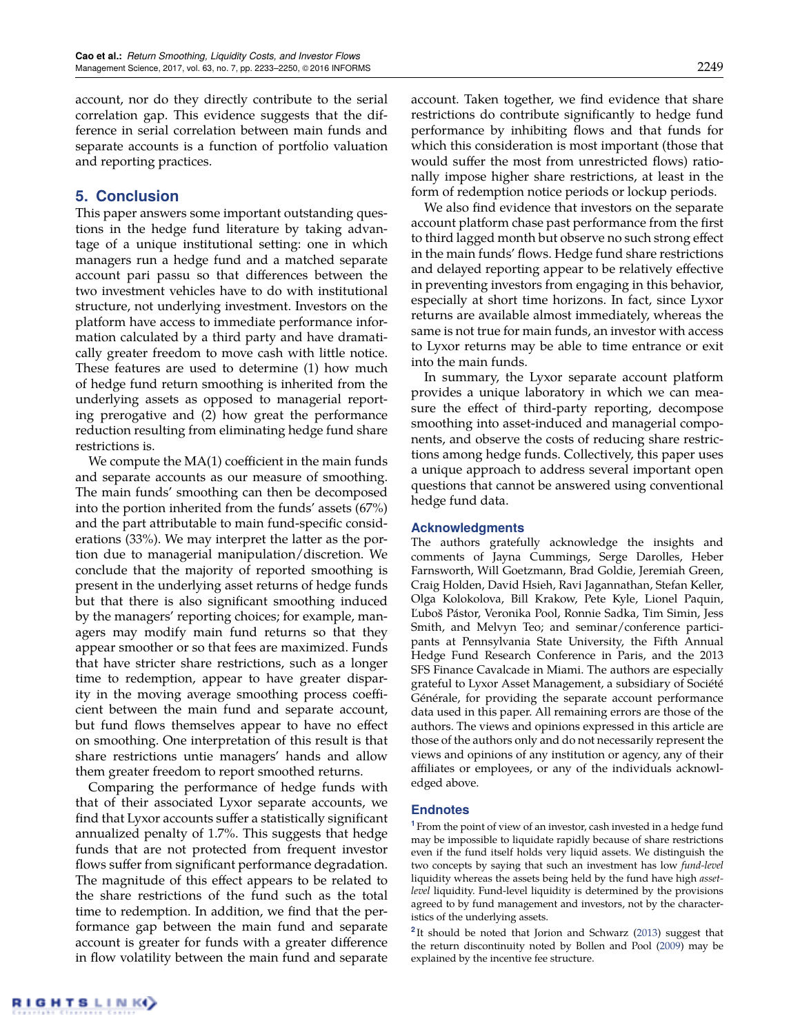account, nor do they directly contribute to the serial correlation gap. This evidence suggests that the difference in serial correlation between main funds and separate accounts is a function of portfolio valuation and reporting practices.

# **5. Conclusion**

This paper answers some important outstanding questions in the hedge fund literature by taking advantage of a unique institutional setting: one in which managers run a hedge fund and a matched separate account pari passu so that differences between the two investment vehicles have to do with institutional structure, not underlying investment. Investors on the platform have access to immediate performance information calculated by a third party and have dramatically greater freedom to move cash with little notice. These features are used to determine (1) how much of hedge fund return smoothing is inherited from the underlying assets as opposed to managerial reporting prerogative and (2) how great the performance reduction resulting from eliminating hedge fund share restrictions is.

We compute the MA(1) coefficient in the main funds and separate accounts as our measure of smoothing. The main funds' smoothing can then be decomposed into the portion inherited from the funds' assets (67%) and the part attributable to main fund-specific considerations (33%). We may interpret the latter as the portion due to managerial manipulation/discretion. We conclude that the majority of reported smoothing is present in the underlying asset returns of hedge funds but that there is also significant smoothing induced by the managers' reporting choices; for example, managers may modify main fund returns so that they appear smoother or so that fees are maximized. Funds that have stricter share restrictions, such as a longer time to redemption, appear to have greater disparity in the moving average smoothing process coefficient between the main fund and separate account, but fund flows themselves appear to have no effect on smoothing. One interpretation of this result is that share restrictions untie managers' hands and allow them greater freedom to report smoothed returns.

Comparing the performance of hedge funds with that of their associated Lyxor separate accounts, we find that Lyxor accounts suffer a statistically significant annualized penalty of 1.7%. This suggests that hedge funds that are not protected from frequent investor flows suffer from significant performance degradation. The magnitude of this effect appears to be related to the share restrictions of the fund such as the total time to redemption. In addition, we find that the performance gap between the main fund and separate account is greater for funds with a greater difference in flow volatility between the main fund and separate account. Taken together, we find evidence that share restrictions do contribute significantly to hedge fund performance by inhibiting flows and that funds for which this consideration is most important (those that would suffer the most from unrestricted flows) rationally impose higher share restrictions, at least in the form of redemption notice periods or lockup periods.

We also find evidence that investors on the separate account platform chase past performance from the first to third lagged month but observe no such strong effect in the main funds' flows. Hedge fund share restrictions and delayed reporting appear to be relatively effective in preventing investors from engaging in this behavior, especially at short time horizons. In fact, since Lyxor returns are available almost immediately, whereas the same is not true for main funds, an investor with access to Lyxor returns may be able to time entrance or exit into the main funds.

In summary, the Lyxor separate account platform provides a unique laboratory in which we can measure the effect of third-party reporting, decompose smoothing into asset-induced and managerial components, and observe the costs of reducing share restrictions among hedge funds. Collectively, this paper uses a unique approach to address several important open questions that cannot be answered using conventional hedge fund data.

# **Acknowledgments**

The authors gratefully acknowledge the insights and comments of Jayna Cummings, Serge Darolles, Heber Farnsworth, Will Goetzmann, Brad Goldie, Jeremiah Green, Craig Holden, David Hsieh, Ravi Jagannathan, Stefan Keller, Olga Kolokolova, Bill Krakow, Pete Kyle, Lionel Paquin, Ľuboš Pástor, Veronika Pool, Ronnie Sadka, Tim Simin, Jess Smith, and Melvyn Teo; and seminar/conference participants at Pennsylvania State University, the Fifth Annual Hedge Fund Research Conference in Paris, and the 2013 SFS Finance Cavalcade in Miami. The authors are especially grateful to Lyxor Asset Management, a subsidiary of Société Générale, for providing the separate account performance data used in this paper. All remaining errors are those of the authors. The views and opinions expressed in this article are those of the authors only and do not necessarily represent the views and opinions of any institution or agency, any of their affiliates or employees, or any of the individuals acknowledged above.

# **Endnotes**

**<sup>1</sup>** From the point of view of an investor, cash invested in a hedge fund may be impossible to liquidate rapidly because of share restrictions even if the fund itself holds very liquid assets. We distinguish the two concepts by saying that such an investment has low *fund-level* liquidity whereas the assets being held by the fund have high *assetlevel* liquidity. Fund-level liquidity is determined by the provisions agreed to by fund management and investors, not by the characteristics of the underlying assets.

**2** It should be noted that Jorion and Schwarz (2013) suggest that the return discontinuity noted by Bollen and Pool (2009) may be explained by the incentive fee structure.